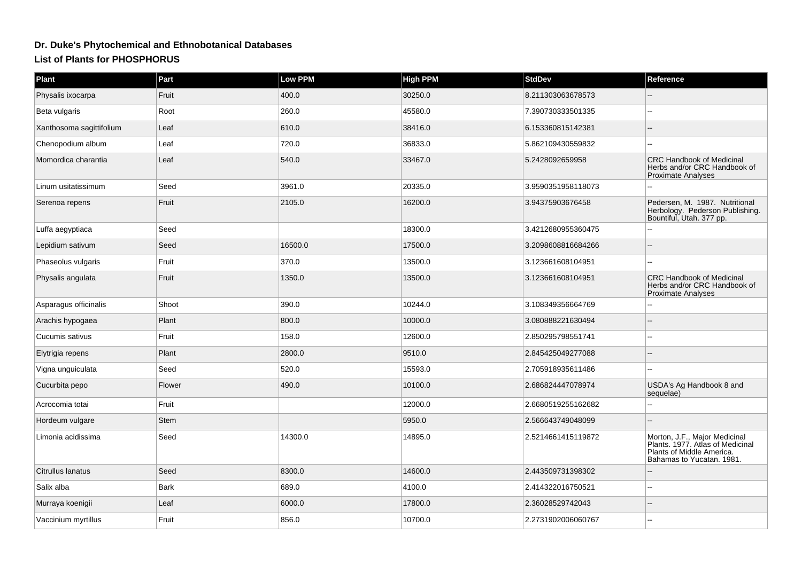## **Dr. Duke's Phytochemical and Ethnobotanical DatabasesList of Plants for PHOSPHORUS**

| <b>Plant</b>             | Part        | Low PPM | <b>High PPM</b> | <b>StdDev</b>      | Reference                                                                                                                   |
|--------------------------|-------------|---------|-----------------|--------------------|-----------------------------------------------------------------------------------------------------------------------------|
| Physalis ixocarpa        | Fruit       | 400.0   | 30250.0         | 8.211303063678573  |                                                                                                                             |
| Beta vulgaris            | Root        | 260.0   | 45580.0         | 7.390730333501335  |                                                                                                                             |
| Xanthosoma sagittifolium | Leaf        | 610.0   | 38416.0         | 6.153360815142381  |                                                                                                                             |
| Chenopodium album        | Leaf        | 720.0   | 36833.0         | 5.862109430559832  |                                                                                                                             |
| Momordica charantia      | Leaf        | 540.0   | 33467.0         | 5.2428092659958    | <b>CRC Handbook of Medicinal</b><br>Herbs and/or CRC Handbook of<br><b>Proximate Analyses</b>                               |
| Linum usitatissimum      | Seed        | 3961.0  | 20335.0         | 3.9590351958118073 |                                                                                                                             |
| Serenoa repens           | Fruit       | 2105.0  | 16200.0         | 3.94375903676458   | Pedersen, M. 1987. Nutritional<br>Herbology. Pederson Publishing.<br>Bountiful, Utah. 377 pp.                               |
| Luffa aegyptiaca         | Seed        |         | 18300.0         | 3.4212680955360475 |                                                                                                                             |
| Lepidium sativum         | Seed        | 16500.0 | 17500.0         | 3.2098608816684266 |                                                                                                                             |
| Phaseolus vulgaris       | Fruit       | 370.0   | 13500.0         | 3.123661608104951  |                                                                                                                             |
| Physalis angulata        | Fruit       | 1350.0  | 13500.0         | 3.123661608104951  | <b>CRC Handbook of Medicinal</b><br>Herbs and/or CRC Handbook of<br><b>Proximate Analyses</b>                               |
| Asparagus officinalis    | Shoot       | 390.0   | 10244.0         | 3.108349356664769  |                                                                                                                             |
| Arachis hypogaea         | Plant       | 800.0   | 10000.0         | 3.080888221630494  |                                                                                                                             |
| Cucumis sativus          | Fruit       | 158.0   | 12600.0         | 2.850295798551741  |                                                                                                                             |
| Elytrigia repens         | Plant       | 2800.0  | 9510.0          | 2.845425049277088  |                                                                                                                             |
| Vigna unguiculata        | Seed        | 520.0   | 15593.0         | 2.705918935611486  |                                                                                                                             |
| Cucurbita pepo           | Flower      | 490.0   | 10100.0         | 2.686824447078974  | USDA's Ag Handbook 8 and<br>sequelae)                                                                                       |
| Acrocomia totai          | Fruit       |         | 12000.0         | 2.6680519255162682 |                                                                                                                             |
| Hordeum vulgare          | <b>Stem</b> |         | 5950.0          | 2.566643749048099  |                                                                                                                             |
| Limonia acidissima       | Seed        | 14300.0 | 14895.0         | 2.5214661415119872 | Morton, J.F., Major Medicinal<br>Plants. 1977. Atlas of Medicinal<br>Plants of Middle America.<br>Bahamas to Yucatan. 1981. |
| Citrullus lanatus        | Seed        | 8300.0  | 14600.0         | 2.443509731398302  |                                                                                                                             |
| Salix alba               | <b>Bark</b> | 689.0   | 4100.0          | 2.414322016750521  |                                                                                                                             |
| Murraya koenigii         | Leaf        | 6000.0  | 17800.0         | 2.36028529742043   |                                                                                                                             |
| Vaccinium myrtillus      | Fruit       | 856.0   | 10700.0         | 2.2731902006060767 |                                                                                                                             |
|                          |             |         |                 |                    |                                                                                                                             |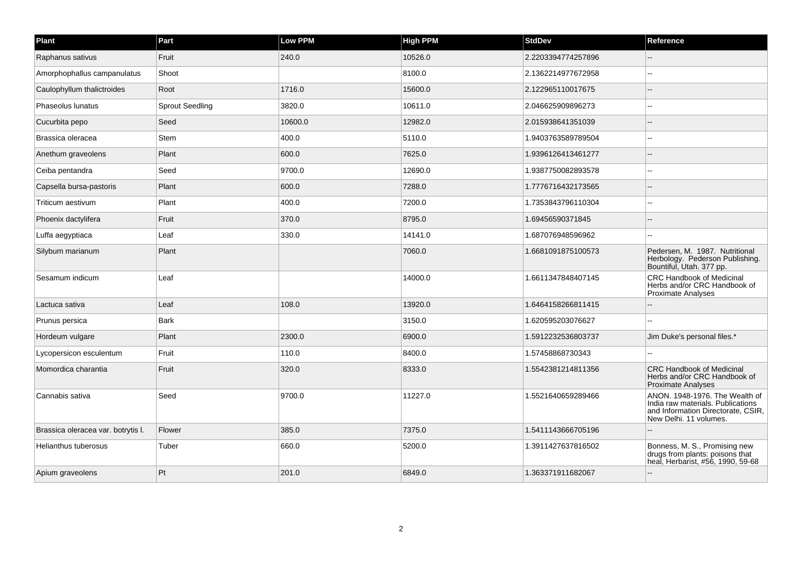| Plant                              | Part                   | Low PPM | <b>High PPM</b> | <b>StdDev</b>      | Reference                                                                                                                           |
|------------------------------------|------------------------|---------|-----------------|--------------------|-------------------------------------------------------------------------------------------------------------------------------------|
| Raphanus sativus                   | Fruit                  | 240.0   | 10526.0         | 2.2203394774257896 |                                                                                                                                     |
| Amorphophallus campanulatus        | Shoot                  |         | 8100.0          | 2.1362214977672958 |                                                                                                                                     |
| Caulophyllum thalictroides         | Root                   | 1716.0  | 15600.0         | 2.122965110017675  |                                                                                                                                     |
| Phaseolus lunatus                  | <b>Sprout Seedling</b> | 3820.0  | 10611.0         | 2.046625909896273  |                                                                                                                                     |
| Cucurbita pepo                     | Seed                   | 10600.0 | 12982.0         | 2.015938641351039  |                                                                                                                                     |
| Brassica oleracea                  | Stem                   | 400.0   | 5110.0          | 1.9403763589789504 |                                                                                                                                     |
| Anethum graveolens                 | Plant                  | 600.0   | 7625.0          | 1.9396126413461277 |                                                                                                                                     |
| Ceiba pentandra                    | Seed                   | 9700.0  | 12690.0         | 1.9387750082893578 |                                                                                                                                     |
| Capsella bursa-pastoris            | Plant                  | 600.0   | 7288.0          | 1.7776716432173565 |                                                                                                                                     |
| Triticum aestivum                  | Plant                  | 400.0   | 7200.0          | 1.7353843796110304 | --                                                                                                                                  |
| Phoenix dactylifera                | Fruit                  | 370.0   | 8795.0          | 1.69456590371845   |                                                                                                                                     |
| Luffa aegyptiaca                   | Leaf                   | 330.0   | 14141.0         | 1.687076948596962  |                                                                                                                                     |
| Silybum marianum                   | Plant                  |         | 7060.0          | 1.6681091875100573 | Pedersen, M. 1987. Nutritional<br>Herbology. Pederson Publishing.<br>Bountiful, Utah. 377 pp.                                       |
| Sesamum indicum                    | Leaf                   |         | 14000.0         | 1.6611347848407145 | <b>CRC Handbook of Medicinal</b><br>Herbs and/or CRC Handbook of<br>Proximate Analyses                                              |
| Lactuca sativa                     | Leaf                   | 108.0   | 13920.0         | 1.6464158266811415 |                                                                                                                                     |
| Prunus persica                     | <b>Bark</b>            |         | 3150.0          | 1.620595203076627  |                                                                                                                                     |
| Hordeum vulgare                    | Plant                  | 2300.0  | 6900.0          | 1.5912232536803737 | Jim Duke's personal files.*                                                                                                         |
| Lycopersicon esculentum            | Fruit                  | 110.0   | 8400.0          | 1.57458868730343   |                                                                                                                                     |
| Momordica charantia                | Fruit                  | 320.0   | 8333.0          | 1.5542381214811356 | <b>CRC Handbook of Medicinal</b><br>Herbs and/or CRC Handbook of<br>Proximate Analyses                                              |
| Cannabis sativa                    | Seed                   | 9700.0  | 11227.0         | 1.5521640659289466 | ANON. 1948-1976. The Wealth of<br>India raw materials. Publications<br>and Information Directorate, CSIR,<br>New Delhi. 11 volumes. |
| Brassica oleracea var. botrytis I. | Flower                 | 385.0   | 7375.0          | 1.5411143666705196 |                                                                                                                                     |
| Helianthus tuberosus               | Tuber                  | 660.0   | 5200.0          | 1.3911427637816502 | Bonness, M. S., Promising new<br>drugs from plants: poisons that<br>heal, Herbarist, #56, 1990, 59-68                               |
| Apium graveolens                   | Pt                     | 201.0   | 6849.0          | 1.363371911682067  |                                                                                                                                     |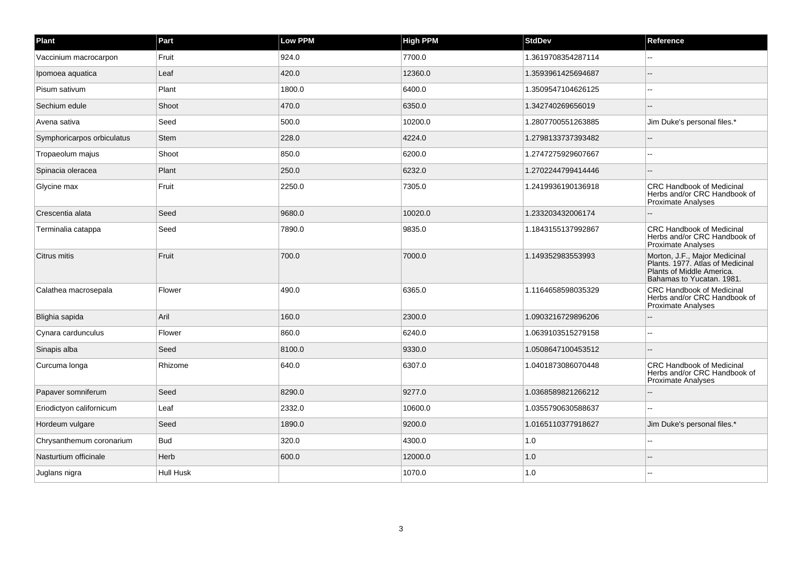| Plant                      | Part        | Low PPM | <b>High PPM</b> | <b>StdDev</b>      | Reference                                                                                                                   |
|----------------------------|-------------|---------|-----------------|--------------------|-----------------------------------------------------------------------------------------------------------------------------|
| Vaccinium macrocarpon      | Fruit       | 924.0   | 7700.0          | 1.3619708354287114 |                                                                                                                             |
| Ipomoea aquatica           | Leaf        | 420.0   | 12360.0         | 1.3593961425694687 |                                                                                                                             |
| Pisum sativum              | Plant       | 1800.0  | 6400.0          | 1.3509547104626125 |                                                                                                                             |
| Sechium edule              | Shoot       | 470.0   | 6350.0          | 1.342740269656019  |                                                                                                                             |
| Avena sativa               | Seed        | 500.0   | 10200.0         | 1.2807700551263885 | Jim Duke's personal files.*                                                                                                 |
| Symphoricarpos orbiculatus | <b>Stem</b> | 228.0   | 4224.0          | 1.2798133737393482 |                                                                                                                             |
| Tropaeolum majus           | Shoot       | 850.0   | 6200.0          | 1.2747275929607667 | --                                                                                                                          |
| Spinacia oleracea          | Plant       | 250.0   | 6232.0          | 1.2702244799414446 |                                                                                                                             |
| Glycine max                | Fruit       | 2250.0  | 7305.0          | 1.2419936190136918 | <b>CRC Handbook of Medicinal</b><br>Herbs and/or CRC Handbook of<br>Proximate Analyses                                      |
| Crescentia alata           | Seed        | 9680.0  | 10020.0         | 1.233203432006174  |                                                                                                                             |
| Terminalia catappa         | Seed        | 7890.0  | 9835.0          | 1.1843155137992867 | <b>CRC Handbook of Medicinal</b><br>Herbs and/or CRC Handbook of<br>Proximate Analyses                                      |
| Citrus mitis               | Fruit       | 700.0   | 7000.0          | 1.149352983553993  | Morton, J.F., Major Medicinal<br>Plants. 1977. Atlas of Medicinal<br>Plants of Middle America.<br>Bahamas to Yucatan. 1981. |
| Calathea macrosepala       | Flower      | 490.0   | 6365.0          | 1.1164658598035329 | <b>CRC Handbook of Medicinal</b><br>Herbs and/or CRC Handbook of<br>Proximate Analyses                                      |
| Blighia sapida             | Aril        | 160.0   | 2300.0          | 1.0903216729896206 |                                                                                                                             |
| Cynara cardunculus         | Flower      | 860.0   | 6240.0          | 1.0639103515279158 |                                                                                                                             |
| Sinapis alba               | Seed        | 8100.0  | 9330.0          | 1.0508647100453512 |                                                                                                                             |
| Curcuma longa              | Rhizome     | 640.0   | 6307.0          | 1.0401873086070448 | <b>CRC Handbook of Medicinal</b><br>Herbs and/or CRC Handbook of<br>Proximate Analyses                                      |
| Papaver somniferum         | Seed        | 8290.0  | 9277.0          | 1.0368589821266212 |                                                                                                                             |
| Eriodictyon californicum   | Leaf        | 2332.0  | 10600.0         | 1.0355790630588637 |                                                                                                                             |
| Hordeum vulgare            | Seed        | 1890.0  | 9200.0          | 1.0165110377918627 | Jim Duke's personal files.*                                                                                                 |
| Chrysanthemum coronarium   | <b>Bud</b>  | 320.0   | 4300.0          | 1.0                |                                                                                                                             |
| Nasturtium officinale      | Herb        | 600.0   | 12000.0         | 1.0                |                                                                                                                             |
| Juglans nigra              | Hull Husk   |         | 1070.0          | 1.0                |                                                                                                                             |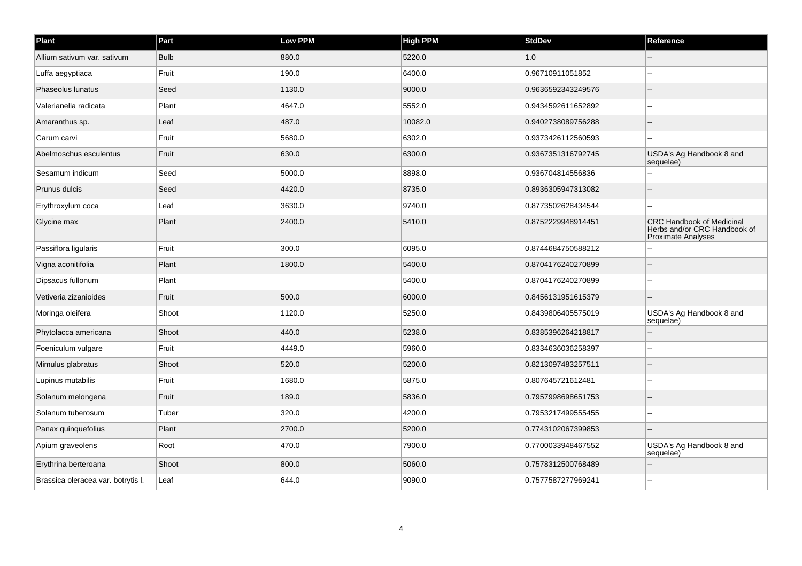| Plant                              | Part        | Low PPM | <b>High PPM</b> | <b>StdDev</b>      | Reference                                                                              |
|------------------------------------|-------------|---------|-----------------|--------------------|----------------------------------------------------------------------------------------|
| Allium sativum var. sativum        | <b>Bulb</b> | 880.0   | 5220.0          | 1.0                |                                                                                        |
| Luffa aegyptiaca                   | Fruit       | 190.0   | 6400.0          | 0.96710911051852   |                                                                                        |
| Phaseolus lunatus                  | Seed        | 1130.0  | 9000.0          | 0.9636592343249576 |                                                                                        |
| Valerianella radicata              | Plant       | 4647.0  | 5552.0          | 0.9434592611652892 |                                                                                        |
| Amaranthus sp.                     | Leaf        | 487.0   | 10082.0         | 0.9402738089756288 |                                                                                        |
| Carum carvi                        | Fruit       | 5680.0  | 6302.0          | 0.9373426112560593 | $\overline{a}$                                                                         |
| Abelmoschus esculentus             | Fruit       | 630.0   | 6300.0          | 0.9367351316792745 | USDA's Ag Handbook 8 and<br>sequelae)                                                  |
| Sesamum indicum                    | Seed        | 5000.0  | 8898.0          | 0.936704814556836  |                                                                                        |
| Prunus dulcis                      | Seed        | 4420.0  | 8735.0          | 0.8936305947313082 |                                                                                        |
| Erythroxylum coca                  | Leaf        | 3630.0  | 9740.0          | 0.8773502628434544 | $\sim$                                                                                 |
| Glycine max                        | Plant       | 2400.0  | 5410.0          | 0.8752229948914451 | <b>CRC Handbook of Medicinal</b><br>Herbs and/or CRC Handbook of<br>Proximate Analyses |
| Passiflora ligularis               | Fruit       | 300.0   | 6095.0          | 0.8744684750588212 |                                                                                        |
| Vigna aconitifolia                 | Plant       | 1800.0  | 5400.0          | 0.8704176240270899 |                                                                                        |
| Dipsacus fullonum                  | Plant       |         | 5400.0          | 0.8704176240270899 |                                                                                        |
| Vetiveria zizanioides              | Fruit       | 500.0   | 6000.0          | 0.8456131951615379 |                                                                                        |
| Moringa oleifera                   | Shoot       | 1120.0  | 5250.0          | 0.8439806405575019 | USDA's Ag Handbook 8 and<br>sequelae)                                                  |
| Phytolacca americana               | Shoot       | 440.0   | 5238.0          | 0.8385396264218817 |                                                                                        |
| Foeniculum vulgare                 | Fruit       | 4449.0  | 5960.0          | 0.8334636036258397 |                                                                                        |
| Mimulus glabratus                  | Shoot       | 520.0   | 5200.0          | 0.8213097483257511 | --                                                                                     |
| Lupinus mutabilis                  | Fruit       | 1680.0  | 5875.0          | 0.807645721612481  |                                                                                        |
| Solanum melongena                  | Fruit       | 189.0   | 5836.0          | 0.7957998698651753 | $\sim$                                                                                 |
| Solanum tuberosum                  | Tuber       | 320.0   | 4200.0          | 0.7953217499555455 | $\sim$                                                                                 |
| Panax quinquefolius                | Plant       | 2700.0  | 5200.0          | 0.7743102067399853 |                                                                                        |
| Apium graveolens                   | Root        | 470.0   | 7900.0          | 0.7700033948467552 | USDA's Ag Handbook 8 and<br>sequelae)                                                  |
| Erythrina berteroana               | Shoot       | 800.0   | 5060.0          | 0.7578312500768489 |                                                                                        |
| Brassica oleracea var. botrytis I. | Leaf        | 644.0   | 9090.0          | 0.7577587277969241 |                                                                                        |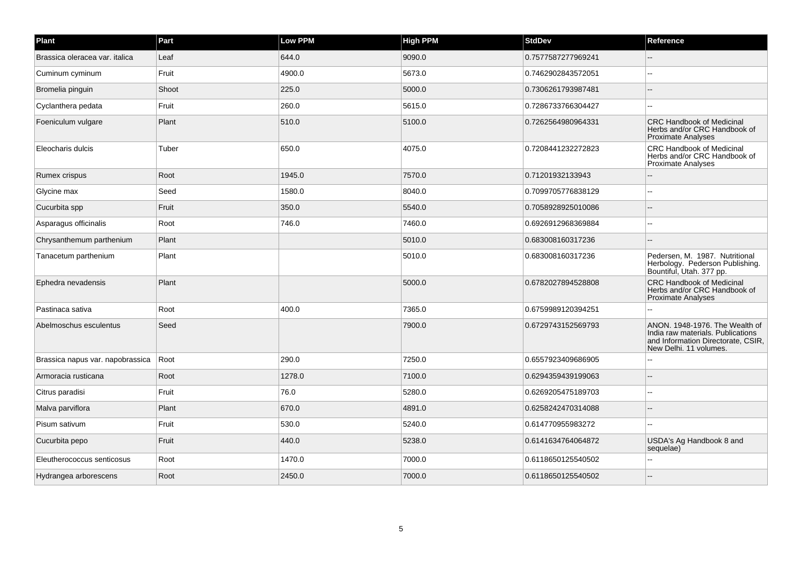| Plant                            | Part  | Low PPM | <b>High PPM</b> | <b>StdDev</b>      | Reference                                                                                                                           |
|----------------------------------|-------|---------|-----------------|--------------------|-------------------------------------------------------------------------------------------------------------------------------------|
| Brassica oleracea var. italica   | Leaf  | 644.0   | 9090.0          | 0.7577587277969241 |                                                                                                                                     |
| Cuminum cyminum                  | Fruit | 4900.0  | 5673.0          | 0.7462902843572051 | $\sim$                                                                                                                              |
| Bromelia pinguin                 | Shoot | 225.0   | 5000.0          | 0.7306261793987481 |                                                                                                                                     |
| Cyclanthera pedata               | Fruit | 260.0   | 5615.0          | 0.7286733766304427 |                                                                                                                                     |
| Foeniculum vulgare               | Plant | 510.0   | 5100.0          | 0.7262564980964331 | <b>CRC Handbook of Medicinal</b><br>Herbs and/or CRC Handbook of<br><b>Proximate Analyses</b>                                       |
| Eleocharis dulcis                | Tuber | 650.0   | 4075.0          | 0.7208441232272823 | <b>CRC Handbook of Medicinal</b><br>Herbs and/or CRC Handbook of<br><b>Proximate Analyses</b>                                       |
| Rumex crispus                    | Root  | 1945.0  | 7570.0          | 0.71201932133943   |                                                                                                                                     |
| Glycine max                      | Seed  | 1580.0  | 8040.0          | 0.7099705776838129 |                                                                                                                                     |
| Cucurbita spp                    | Fruit | 350.0   | 5540.0          | 0.7058928925010086 |                                                                                                                                     |
| Asparagus officinalis            | Root  | 746.0   | 7460.0          | 0.6926912968369884 |                                                                                                                                     |
| Chrysanthemum parthenium         | Plant |         | 5010.0          | 0.683008160317236  |                                                                                                                                     |
| Tanacetum parthenium             | Plant |         | 5010.0          | 0.683008160317236  | Pedersen, M. 1987. Nutritional<br>Herbology. Pederson Publishing.<br>Bountiful, Utah. 377 pp.                                       |
| Ephedra nevadensis               | Plant |         | 5000.0          | 0.6782027894528808 | <b>CRC Handbook of Medicinal</b><br>Herbs and/or CRC Handbook of<br><b>Proximate Analyses</b>                                       |
| Pastinaca sativa                 | Root  | 400.0   | 7365.0          | 0.6759989120394251 |                                                                                                                                     |
| Abelmoschus esculentus           | Seed  |         | 7900.0          | 0.6729743152569793 | ANON. 1948-1976. The Wealth of<br>India raw materials. Publications<br>and Information Directorate, CSIR,<br>New Delhi, 11 volumes. |
| Brassica napus var. napobrassica | Root  | 290.0   | 7250.0          | 0.6557923409686905 |                                                                                                                                     |
| Armoracia rusticana              | Root  | 1278.0  | 7100.0          | 0.6294359439199063 |                                                                                                                                     |
| Citrus paradisi                  | Fruit | 76.0    | 5280.0          | 0.6269205475189703 |                                                                                                                                     |
| Malva parviflora                 | Plant | 670.0   | 4891.0          | 0.6258242470314088 |                                                                                                                                     |
| Pisum sativum                    | Fruit | 530.0   | 5240.0          | 0.614770955983272  |                                                                                                                                     |
| Cucurbita pepo                   | Fruit | 440.0   | 5238.0          | 0.6141634764064872 | USDA's Ag Handbook 8 and<br>sequelae)                                                                                               |
| Eleutherococcus senticosus       | Root  | 1470.0  | 7000.0          | 0.6118650125540502 |                                                                                                                                     |
| Hydrangea arborescens            | Root  | 2450.0  | 7000.0          | 0.6118650125540502 |                                                                                                                                     |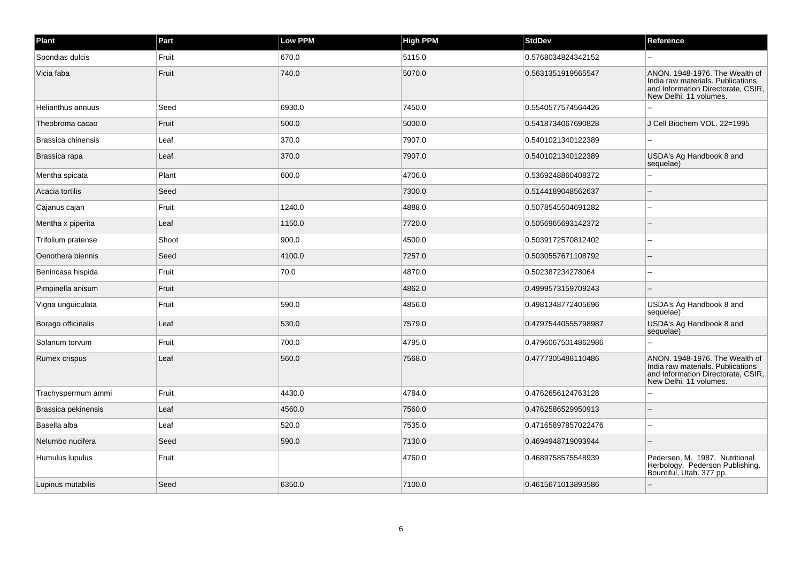| Plant               | Part  | Low PPM | <b>High PPM</b> | <b>StdDev</b>       | Reference                                                                                                                           |
|---------------------|-------|---------|-----------------|---------------------|-------------------------------------------------------------------------------------------------------------------------------------|
| Spondias dulcis     | Fruit | 670.0   | 5115.0          | 0.5768034824342152  |                                                                                                                                     |
| Vicia faba          | Fruit | 740.0   | 5070.0          | 0.5631351919565547  | ANON. 1948-1976. The Wealth of<br>India raw materials. Publications<br>and Information Directorate, CSIR,<br>New Delhi, 11 volumes. |
| Helianthus annuus   | Seed  | 6930.0  | 7450.0          | 0.5540577574564426  |                                                                                                                                     |
| Theobroma cacao     | Fruit | 500.0   | 5000.0          | 0.5418734067690828  | J Cell Biochem VOL. 22=1995                                                                                                         |
| Brassica chinensis  | Leaf  | 370.0   | 7907.0          | 0.5401021340122389  |                                                                                                                                     |
| Brassica rapa       | Leaf  | 370.0   | 7907.0          | 0.5401021340122389  | USDA's Ag Handbook 8 and<br>sequelae)                                                                                               |
| Mentha spicata      | Plant | 600.0   | 4706.0          | 0.5369248860408372  |                                                                                                                                     |
| Acacia tortilis     | Seed  |         | 7300.0          | 0.5144189048562637  |                                                                                                                                     |
| Cajanus cajan       | Fruit | 1240.0  | 4888.0          | 0.5078545504691282  |                                                                                                                                     |
| Mentha x piperita   | Leaf  | 1150.0  | 7720.0          | 0.5056965693142372  |                                                                                                                                     |
| Trifolium pratense  | Shoot | 900.0   | 4500.0          | 0.5039172570812402  |                                                                                                                                     |
| Oenothera biennis   | Seed  | 4100.0  | 7257.0          | 0.5030557671108792  |                                                                                                                                     |
| Benincasa hispida   | Fruit | 70.0    | 4870.0          | 0.502387234278064   |                                                                                                                                     |
| Pimpinella anisum   | Fruit |         | 4862.0          | 0.4999573159709243  |                                                                                                                                     |
| Vigna unguiculata   | Fruit | 590.0   | 4856.0          | 0.4981348772405696  | USDA's Ag Handbook 8 and<br>sequelae)                                                                                               |
| Borago officinalis  | Leaf  | 530.0   | 7579.0          | 0.47975440555798987 | USDA's Ag Handbook 8 and<br>sequelae)                                                                                               |
| Solanum torvum      | Fruit | 700.0   | 4795.0          | 0.47960675014862986 |                                                                                                                                     |
| Rumex crispus       | Leaf  | 560.0   | 7568.0          | 0.4777305488110486  | ANON. 1948-1976. The Wealth of<br>India raw materials. Publications<br>and Information Directorate, CSIR,<br>New Delhi, 11 volumes. |
| Trachyspermum ammi  | Fruit | 4430.0  | 4784.0          | 0.4762656124763128  |                                                                                                                                     |
| Brassica pekinensis | Leaf  | 4560.0  | 7560.0          | 0.4762586529950913  |                                                                                                                                     |
| Basella alba        | Leaf  | 520.0   | 7535.0          | 0.47165897857022476 |                                                                                                                                     |
| Nelumbo nucifera    | Seed  | 590.0   | 7130.0          | 0.4694948719093944  |                                                                                                                                     |
| Humulus lupulus     | Fruit |         | 4760.0          | 0.4689758575548939  | Pedersen, M. 1987. Nutritional<br>Herbology. Pederson Publishing.<br>Bountiful, Utah. 377 pp.                                       |
| Lupinus mutabilis   | Seed  | 6350.0  | 7100.0          | 0.4615671013893586  |                                                                                                                                     |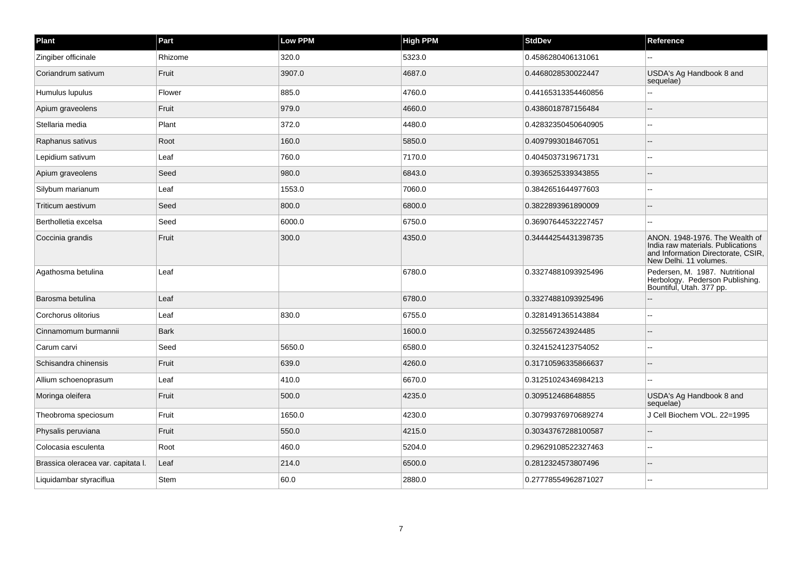| Plant                              | Part    | Low PPM | <b>High PPM</b> | <b>StdDev</b>       | Reference                                                                                                                           |
|------------------------------------|---------|---------|-----------------|---------------------|-------------------------------------------------------------------------------------------------------------------------------------|
| Zingiber officinale                | Rhizome | 320.0   | 5323.0          | 0.4586280406131061  |                                                                                                                                     |
| Coriandrum sativum                 | Fruit   | 3907.0  | 4687.0          | 0.4468028530022447  | USDA's Ag Handbook 8 and<br>sequelae)                                                                                               |
| Humulus lupulus                    | Flower  | 885.0   | 4760.0          | 0.44165313354460856 |                                                                                                                                     |
| Apium graveolens                   | Fruit   | 979.0   | 4660.0          | 0.4386018787156484  |                                                                                                                                     |
| Stellaria media                    | Plant   | 372.0   | 4480.0          | 0.42832350450640905 |                                                                                                                                     |
| Raphanus sativus                   | Root    | 160.0   | 5850.0          | 0.4097993018467051  |                                                                                                                                     |
| Lepidium sativum                   | Leaf    | 760.0   | 7170.0          | 0.4045037319671731  |                                                                                                                                     |
| Apium graveolens                   | Seed    | 980.0   | 6843.0          | 0.3936525339343855  |                                                                                                                                     |
| Silybum marianum                   | Leaf    | 1553.0  | 7060.0          | 0.3842651644977603  |                                                                                                                                     |
| Triticum aestivum                  | Seed    | 800.0   | 6800.0          | 0.3822893961890009  |                                                                                                                                     |
| Bertholletia excelsa               | Seed    | 6000.0  | 6750.0          | 0.36907644532227457 |                                                                                                                                     |
| Coccinia grandis                   | Fruit   | 300.0   | 4350.0          | 0.34444254431398735 | ANON. 1948-1976. The Wealth of<br>India raw materials. Publications<br>and Information Directorate, CSIR,<br>New Delhi. 11 volumes. |
| Agathosma betulina                 | Leaf    |         | 6780.0          | 0.33274881093925496 | Pedersen, M. 1987. Nutritional<br>Herbology. Pederson Publishing.<br>Bountiful, Utah. 377 pp.                                       |
| Barosma betulina                   | Leaf    |         | 6780.0          | 0.33274881093925496 |                                                                                                                                     |
| Corchorus olitorius                | Leaf    | 830.0   | 6755.0          | 0.3281491365143884  |                                                                                                                                     |
| Cinnamomum burmannii               | Bark    |         | 1600.0          | 0.325567243924485   |                                                                                                                                     |
| Carum carvi                        | Seed    | 5650.0  | 6580.0          | 0.3241524123754052  |                                                                                                                                     |
| Schisandra chinensis               | Fruit   | 639.0   | 4260.0          | 0.31710596335866637 |                                                                                                                                     |
| Allium schoenoprasum               | Leaf    | 410.0   | 6670.0          | 0.31251024346984213 |                                                                                                                                     |
| Moringa oleifera                   | Fruit   | 500.0   | 4235.0          | 0.309512468648855   | USDA's Ag Handbook 8 and<br>sequelae)                                                                                               |
| Theobroma speciosum                | Fruit   | 1650.0  | 4230.0          | 0.30799376970689274 | J Cell Biochem VOL. 22=1995                                                                                                         |
| Physalis peruviana                 | Fruit   | 550.0   | 4215.0          | 0.30343767288100587 |                                                                                                                                     |
| Colocasia esculenta                | Root    | 460.0   | 5204.0          | 0.29629108522327463 |                                                                                                                                     |
| Brassica oleracea var. capitata I. | Leaf    | 214.0   | 6500.0          | 0.2812324573807496  |                                                                                                                                     |
| Liquidambar styraciflua            | Stem    | 60.0    | 2880.0          | 0.27778554962871027 |                                                                                                                                     |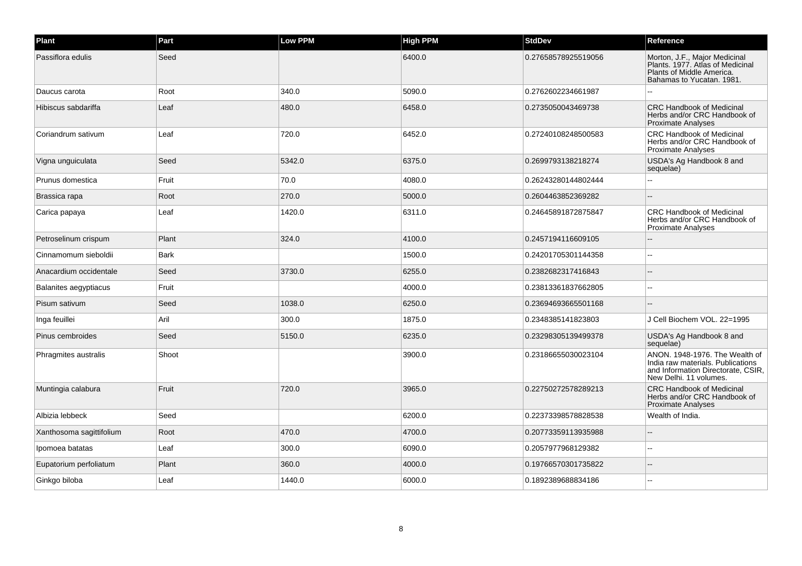| Plant                    | Part        | Low PPM | <b>High PPM</b> | <b>StdDev</b>       | Reference                                                                                                                           |
|--------------------------|-------------|---------|-----------------|---------------------|-------------------------------------------------------------------------------------------------------------------------------------|
| Passiflora edulis        | Seed        |         | 6400.0          | 0.27658578925519056 | Morton, J.F., Major Medicinal<br>Plants. 1977. Atlas of Medicinal<br>Plants of Middle America.<br>Bahamas to Yucatan. 1981.         |
| Daucus carota            | Root        | 340.0   | 5090.0          | 0.2762602234661987  |                                                                                                                                     |
| Hibiscus sabdariffa      | Leaf        | 480.0   | 6458.0          | 0.2735050043469738  | <b>CRC Handbook of Medicinal</b><br>Herbs and/or CRC Handbook of<br><b>Proximate Analyses</b>                                       |
| Coriandrum sativum       | Leaf        | 720.0   | 6452.0          | 0.27240108248500583 | <b>CRC Handbook of Medicinal</b><br>Herbs and/or CRC Handbook of<br><b>Proximate Analyses</b>                                       |
| Vigna unguiculata        | Seed        | 5342.0  | 6375.0          | 0.2699793138218274  | USDA's Ag Handbook 8 and<br>sequelae)                                                                                               |
| Prunus domestica         | Fruit       | 70.0    | 4080.0          | 0.26243280144802444 | ш.                                                                                                                                  |
| Brassica rapa            | Root        | 270.0   | 5000.0          | 0.2604463852369282  |                                                                                                                                     |
| Carica papaya            | Leaf        | 1420.0  | 6311.0          | 0.24645891872875847 | <b>CRC Handbook of Medicinal</b><br>Herbs and/or CRC Handbook of<br><b>Proximate Analyses</b>                                       |
| Petroselinum crispum     | Plant       | 324.0   | 4100.0          | 0.2457194116609105  |                                                                                                                                     |
| Cinnamomum sieboldii     | <b>Bark</b> |         | 1500.0          | 0.24201705301144358 |                                                                                                                                     |
| Anacardium occidentale   | Seed        | 3730.0  | 6255.0          | 0.2382682317416843  |                                                                                                                                     |
| Balanites aegyptiacus    | Fruit       |         | 4000.0          | 0.23813361837662805 |                                                                                                                                     |
| Pisum sativum            | Seed        | 1038.0  | 6250.0          | 0.23694693665501168 |                                                                                                                                     |
| Inga feuillei            | Aril        | 300.0   | 1875.0          | 0.2348385141823803  | J Cell Biochem VOL, 22=1995                                                                                                         |
| Pinus cembroides         | Seed        | 5150.0  | 6235.0          | 0.23298305139499378 | USDA's Ag Handbook 8 and<br>sequelae)                                                                                               |
| Phragmites australis     | Shoot       |         | 3900.0          | 0.23186655030023104 | ANON. 1948-1976. The Wealth of<br>India raw materials. Publications<br>and Information Directorate, CSIR,<br>New Delhi. 11 volumes. |
| Muntingia calabura       | Fruit       | 720.0   | 3965.0          | 0.22750272578289213 | <b>CRC Handbook of Medicinal</b><br>Herbs and/or CRC Handbook of<br>Proximate Analyses                                              |
| Albizia lebbeck          | Seed        |         | 6200.0          | 0.22373398578828538 | Wealth of India.                                                                                                                    |
| Xanthosoma sagittifolium | Root        | 470.0   | 4700.0          | 0.20773359113935988 |                                                                                                                                     |
| Ipomoea batatas          | Leaf        | 300.0   | 6090.0          | 0.2057977968129382  |                                                                                                                                     |
| Eupatorium perfoliatum   | Plant       | 360.0   | 4000.0          | 0.19766570301735822 |                                                                                                                                     |
| Ginkgo biloba            | Leaf        | 1440.0  | 6000.0          | 0.1892389688834186  |                                                                                                                                     |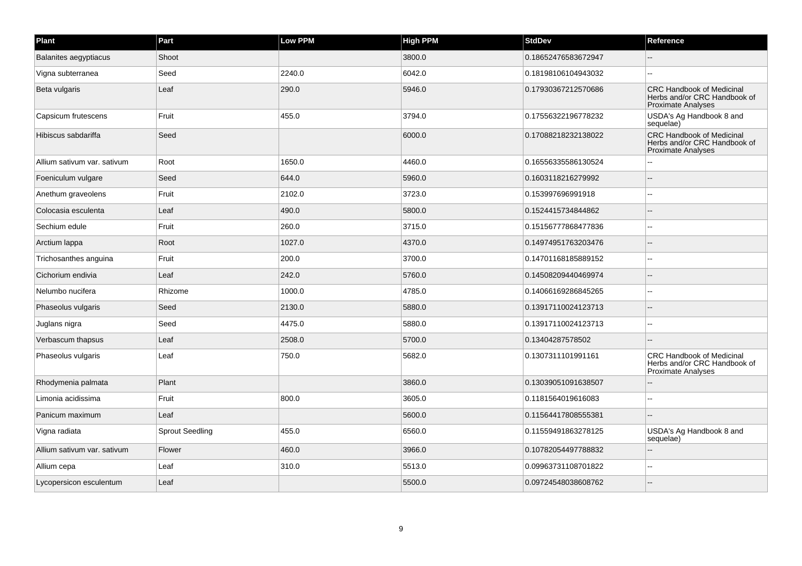| Plant                       | Part                   | Low PPM | <b>High PPM</b> | <b>StdDev</b>       | Reference                                                                                     |
|-----------------------------|------------------------|---------|-----------------|---------------------|-----------------------------------------------------------------------------------------------|
| Balanites aegyptiacus       | Shoot                  |         | 3800.0          | 0.18652476583672947 |                                                                                               |
| Vigna subterranea           | Seed                   | 2240.0  | 6042.0          | 0.18198106104943032 | $\sim$                                                                                        |
| Beta vulgaris               | Leaf                   | 290.0   | 5946.0          | 0.17930367212570686 | <b>CRC Handbook of Medicinal</b><br>Herbs and/or CRC Handbook of<br><b>Proximate Analyses</b> |
| Capsicum frutescens         | Fruit                  | 455.0   | 3794.0          | 0.17556322196778232 | USDA's Ag Handbook 8 and<br>sequelae)                                                         |
| Hibiscus sabdariffa         | Seed                   |         | 6000.0          | 0.17088218232138022 | <b>CRC Handbook of Medicinal</b><br>Herbs and/or CRC Handbook of<br><b>Proximate Analyses</b> |
| Allium sativum var. sativum | Root                   | 1650.0  | 4460.0          | 0.16556335586130524 |                                                                                               |
| Foeniculum vulgare          | Seed                   | 644.0   | 5960.0          | 0.1603118216279992  |                                                                                               |
| Anethum graveolens          | Fruit                  | 2102.0  | 3723.0          | 0.153997696991918   | $\overline{a}$                                                                                |
| Colocasia esculenta         | Leaf                   | 490.0   | 5800.0          | 0.1524415734844862  |                                                                                               |
| Sechium edule               | Fruit                  | 260.0   | 3715.0          | 0.15156777868477836 | $\overline{a}$                                                                                |
| Arctium lappa               | Root                   | 1027.0  | 4370.0          | 0.14974951763203476 |                                                                                               |
| Trichosanthes anguina       | Fruit                  | 200.0   | 3700.0          | 0.14701168185889152 |                                                                                               |
| Cichorium endivia           | Leaf                   | 242.0   | 5760.0          | 0.14508209440469974 |                                                                                               |
| Nelumbo nucifera            | Rhizome                | 1000.0  | 4785.0          | 0.14066169286845265 |                                                                                               |
| Phaseolus vulgaris          | Seed                   | 2130.0  | 5880.0          | 0.13917110024123713 |                                                                                               |
| Juglans nigra               | Seed                   | 4475.0  | 5880.0          | 0.13917110024123713 |                                                                                               |
| Verbascum thapsus           | Leaf                   | 2508.0  | 5700.0          | 0.13404287578502    |                                                                                               |
| Phaseolus vulgaris          | Leaf                   | 750.0   | 5682.0          | 0.1307311101991161  | <b>CRC Handbook of Medicinal</b><br>Herbs and/or CRC Handbook of<br>Proximate Analyses        |
| Rhodymenia palmata          | Plant                  |         | 3860.0          | 0.13039051091638507 |                                                                                               |
| Limonia acidissima          | Fruit                  | 800.0   | 3605.0          | 0.1181564019616083  |                                                                                               |
| Panicum maximum             | Leaf                   |         | 5600.0          | 0.11564417808555381 | $\overline{a}$                                                                                |
| Vigna radiata               | <b>Sprout Seedling</b> | 455.0   | 6560.0          | 0.11559491863278125 | USDA's Ag Handbook 8 and<br>sequelae)                                                         |
| Allium sativum var. sativum | Flower                 | 460.0   | 3966.0          | 0.10782054497788832 |                                                                                               |
| Allium cepa                 | Leaf                   | 310.0   | 5513.0          | 0.09963731108701822 |                                                                                               |
| Lycopersicon esculentum     | Leaf                   |         | 5500.0          | 0.09724548038608762 |                                                                                               |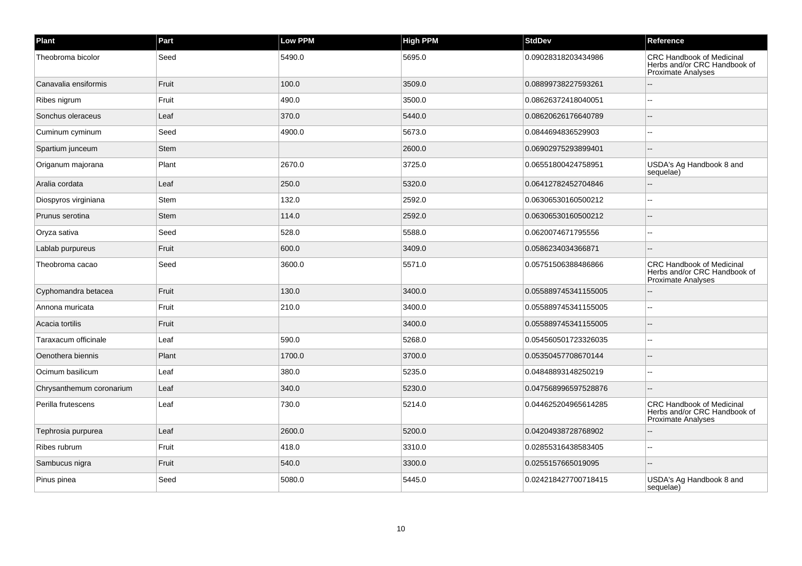| Plant                    | Part        | Low PPM | <b>High PPM</b> | <b>StdDev</b>        | Reference                                                                                     |
|--------------------------|-------------|---------|-----------------|----------------------|-----------------------------------------------------------------------------------------------|
| Theobroma bicolor        | Seed        | 5490.0  | 5695.0          | 0.09028318203434986  | <b>CRC Handbook of Medicinal</b><br>Herbs and/or CRC Handbook of<br>Proximate Analyses        |
| Canavalia ensiformis     | Fruit       | 100.0   | 3509.0          | 0.08899738227593261  |                                                                                               |
| Ribes nigrum             | Fruit       | 490.0   | 3500.0          | 0.08626372418040051  |                                                                                               |
| Sonchus oleraceus        | Leaf        | 370.0   | 5440.0          | 0.08620626176640789  |                                                                                               |
| Cuminum cyminum          | Seed        | 4900.0  | 5673.0          | 0.0844694836529903   |                                                                                               |
| Spartium junceum         | <b>Stem</b> |         | 2600.0          | 0.06902975293899401  |                                                                                               |
| Origanum majorana        | Plant       | 2670.0  | 3725.0          | 0.06551800424758951  | USDA's Ag Handbook 8 and<br>sequelae)                                                         |
| Aralia cordata           | Leaf        | 250.0   | 5320.0          | 0.06412782452704846  |                                                                                               |
| Diospyros virginiana     | <b>Stem</b> | 132.0   | 2592.0          | 0.06306530160500212  |                                                                                               |
| Prunus serotina          | <b>Stem</b> | 114.0   | 2592.0          | 0.06306530160500212  |                                                                                               |
| Oryza sativa             | Seed        | 528.0   | 5588.0          | 0.0620074671795556   |                                                                                               |
| Lablab purpureus         | Fruit       | 600.0   | 3409.0          | 0.0586234034366871   |                                                                                               |
| Theobroma cacao          | Seed        | 3600.0  | 5571.0          | 0.05751506388486866  | <b>CRC Handbook of Medicinal</b><br>Herbs and/or CRC Handbook of<br><b>Proximate Analyses</b> |
| Cyphomandra betacea      | Fruit       | 130.0   | 3400.0          | 0.055889745341155005 |                                                                                               |
| Annona muricata          | Fruit       | 210.0   | 3400.0          | 0.055889745341155005 |                                                                                               |
| Acacia tortilis          | Fruit       |         | 3400.0          | 0.055889745341155005 |                                                                                               |
| Taraxacum officinale     | Leaf        | 590.0   | 5268.0          | 0.054560501723326035 |                                                                                               |
| Oenothera biennis        | Plant       | 1700.0  | 3700.0          | 0.05350457708670144  |                                                                                               |
| Ocimum basilicum         | Leaf        | 380.0   | 5235.0          | 0.04848893148250219  |                                                                                               |
| Chrysanthemum coronarium | Leaf        | 340.0   | 5230.0          | 0.047568996597528876 |                                                                                               |
| Perilla frutescens       | Leaf        | 730.0   | 5214.0          | 0.044625204965614285 | <b>CRC Handbook of Medicinal</b><br>Herbs and/or CRC Handbook of<br><b>Proximate Analyses</b> |
| Tephrosia purpurea       | Leaf        | 2600.0  | 5200.0          | 0.04204938728768902  |                                                                                               |
| Ribes rubrum             | Fruit       | 418.0   | 3310.0          | 0.02855316438583405  |                                                                                               |
| Sambucus nigra           | Fruit       | 540.0   | 3300.0          | 0.0255157665019095   |                                                                                               |
| Pinus pinea              | Seed        | 5080.0  | 5445.0          | 0.024218427700718415 | USDA's Ag Handbook 8 and<br>sequelae)                                                         |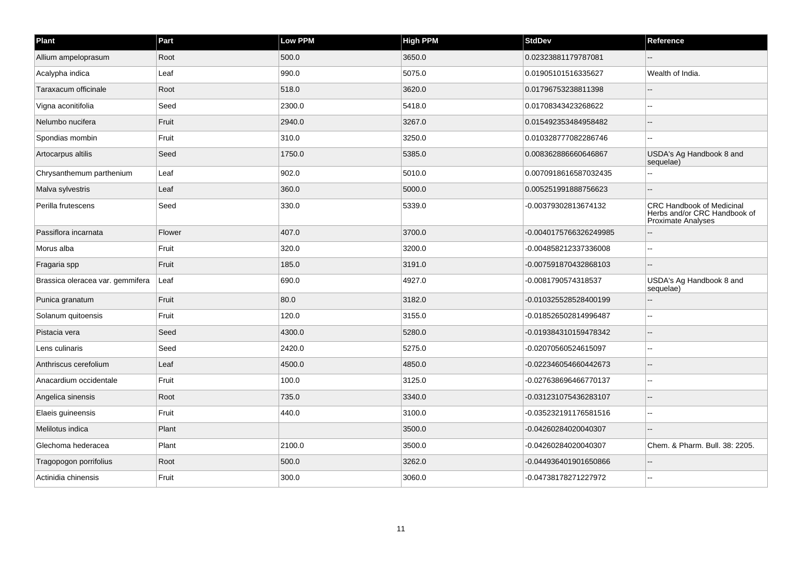| Plant                            | Part   | Low PPM | <b>High PPM</b> | <b>StdDev</b>          | Reference                                                                                     |
|----------------------------------|--------|---------|-----------------|------------------------|-----------------------------------------------------------------------------------------------|
| Allium ampeloprasum              | Root   | 500.0   | 3650.0          | 0.02323881179787081    |                                                                                               |
| Acalypha indica                  | Leaf   | 990.0   | 5075.0          | 0.01905101516335627    | Wealth of India.                                                                              |
| Taraxacum officinale             | Root   | 518.0   | 3620.0          | 0.01796753238811398    |                                                                                               |
| Vigna aconitifolia               | Seed   | 2300.0  | 5418.0          | 0.01708343423268622    |                                                                                               |
| Nelumbo nucifera                 | Fruit  | 2940.0  | 3267.0          | 0.015492353484958482   |                                                                                               |
| Spondias mombin                  | Fruit  | 310.0   | 3250.0          | 0.010328777082286746   | --                                                                                            |
| Artocarpus altilis               | Seed   | 1750.0  | 5385.0          | 0.008362886660646867   | USDA's Ag Handbook 8 and<br>sequelae)                                                         |
| Chrysanthemum parthenium         | Leaf   | 902.0   | 5010.0          | 0.0070918616587032435  |                                                                                               |
| Malva sylvestris                 | Leaf   | 360.0   | 5000.0          | 0.005251991888756623   |                                                                                               |
| Perilla frutescens               | Seed   | 330.0   | 5339.0          | -0.00379302813674132   | <b>CRC Handbook of Medicinal</b><br>Herbs and/or CRC Handbook of<br><b>Proximate Analyses</b> |
| Passiflora incarnata             | Flower | 407.0   | 3700.0          | -0.0040175766326249985 |                                                                                               |
| Morus alba                       | Fruit  | 320.0   | 3200.0          | -0.004858212337336008  |                                                                                               |
| Fragaria spp                     | Fruit  | 185.0   | 3191.0          | -0.007591870432868103  |                                                                                               |
| Brassica oleracea var. gemmifera | Leaf   | 690.0   | 4927.0          | -0.0081790574318537    | USDA's Ag Handbook 8 and<br>sequelae)                                                         |
| Punica granatum                  | Fruit  | 80.0    | 3182.0          | -0.010325528528400199  |                                                                                               |
| Solanum quitoensis               | Fruit  | 120.0   | 3155.0          | -0.018526502814996487  | $\overline{a}$                                                                                |
| Pistacia vera                    | Seed   | 4300.0  | 5280.0          | -0.019384310159478342  |                                                                                               |
| Lens culinaris                   | Seed   | 2420.0  | 5275.0          | -0.02070560524615097   | $-$                                                                                           |
| Anthriscus cerefolium            | Leaf   | 4500.0  | 4850.0          | -0.022346054660442673  |                                                                                               |
| Anacardium occidentale           | Fruit  | 100.0   | 3125.0          | -0.027638696466770137  | --                                                                                            |
| Angelica sinensis                | Root   | 735.0   | 3340.0          | -0.031231075436283107  |                                                                                               |
| Elaeis guineensis                | Fruit  | 440.0   | 3100.0          | -0.035232191176581516  |                                                                                               |
| Melilotus indica                 | Plant  |         | 3500.0          | -0.04260284020040307   |                                                                                               |
| Glechoma hederacea               | Plant  | 2100.0  | 3500.0          | -0.04260284020040307   | Chem. & Pharm. Bull. 38: 2205.                                                                |
| Tragopogon porrifolius           | Root   | 500.0   | 3262.0          | -0.044936401901650866  |                                                                                               |
| Actinidia chinensis              | Fruit  | 300.0   | 3060.0          | -0.04738178271227972   |                                                                                               |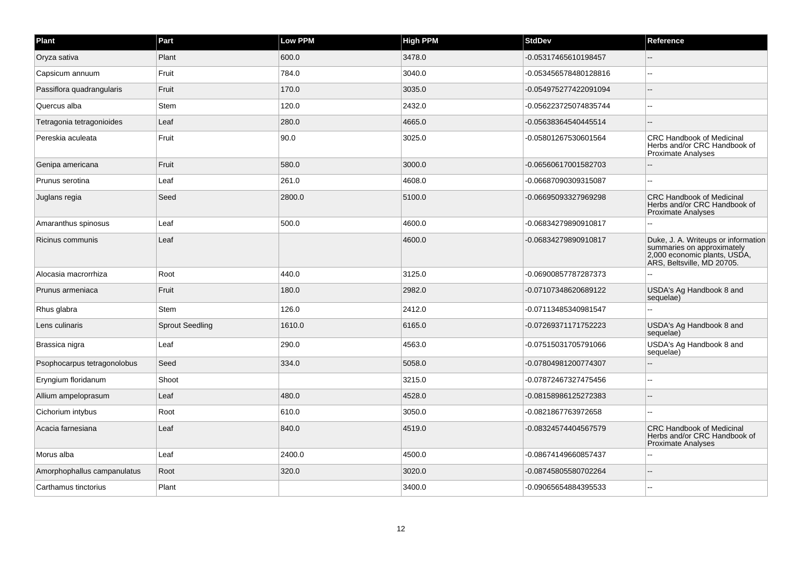| Plant                       | Part                   | <b>Low PPM</b> | <b>High PPM</b> | <b>StdDev</b>         | Reference                                                                                                                       |
|-----------------------------|------------------------|----------------|-----------------|-----------------------|---------------------------------------------------------------------------------------------------------------------------------|
| Oryza sativa                | Plant                  | 600.0          | 3478.0          | -0.05317465610198457  |                                                                                                                                 |
| Capsicum annuum             | Fruit                  | 784.0          | 3040.0          | -0.053456578480128816 | $\sim$ $\sim$                                                                                                                   |
| Passiflora quadrangularis   | Fruit                  | 170.0          | 3035.0          | -0.054975277422091094 | ä.                                                                                                                              |
| Quercus alba                | <b>Stem</b>            | 120.0          | 2432.0          | -0.056223725074835744 | $\sim$                                                                                                                          |
| Tetragonia tetragonioides   | Leaf                   | 280.0          | 4665.0          | -0.05638364540445514  | $\sim$                                                                                                                          |
| Pereskia aculeata           | Fruit                  | 90.0           | 3025.0          | -0.05801267530601564  | <b>CRC Handbook of Medicinal</b><br>Herbs and/or CRC Handbook of<br><b>Proximate Analyses</b>                                   |
| Genipa americana            | Fruit                  | 580.0          | 3000.0          | -0.06560617001582703  |                                                                                                                                 |
| Prunus serotina             | Leaf                   | 261.0          | 4608.0          | -0.06687090309315087  |                                                                                                                                 |
| Juglans regia               | Seed                   | 2800.0         | 5100.0          | -0.06695093327969298  | <b>CRC Handbook of Medicinal</b><br>Herbs and/or CRC Handbook of<br><b>Proximate Analyses</b>                                   |
| Amaranthus spinosus         | Leaf                   | 500.0          | 4600.0          | -0.06834279890910817  |                                                                                                                                 |
| Ricinus communis            | Leaf                   |                | 4600.0          | -0.06834279890910817  | Duke, J. A. Writeups or information<br>summaries on approximately<br>2,000 economic plants, USDA,<br>ARS, Beltsville, MD 20705. |
| Alocasia macrorrhiza        | Root                   | 440.0          | 3125.0          | -0.06900857787287373  |                                                                                                                                 |
| Prunus armeniaca            | Fruit                  | 180.0          | 2982.0          | -0.07107348620689122  | USDA's Ag Handbook 8 and<br>sequelae)                                                                                           |
| Rhus glabra                 | <b>Stem</b>            | 126.0          | 2412.0          | -0.07113485340981547  | $\sim$                                                                                                                          |
| Lens culinaris              | <b>Sprout Seedling</b> | 1610.0         | 6165.0          | -0.07269371171752223  | USDA's Ag Handbook 8 and<br>sequelae)                                                                                           |
| Brassica nigra              | Leaf                   | 290.0          | 4563.0          | -0.07515031705791066  | USDA's Ag Handbook 8 and<br>sequelae)                                                                                           |
| Psophocarpus tetragonolobus | Seed                   | 334.0          | 5058.0          | -0.07804981200774307  | $\overline{\phantom{a}}$                                                                                                        |
| Eryngium floridanum         | Shoot                  |                | 3215.0          | -0.07872467327475456  |                                                                                                                                 |
| Allium ampeloprasum         | Leaf                   | 480.0          | 4528.0          | -0.08158986125272383  | $\overline{\phantom{a}}$                                                                                                        |
| Cichorium intybus           | Root                   | 610.0          | 3050.0          | -0.0821867763972658   |                                                                                                                                 |
| Acacia farnesiana           | Leaf                   | 840.0          | 4519.0          | -0.08324574404567579  | <b>CRC Handbook of Medicinal</b><br>Herbs and/or CRC Handbook of<br><b>Proximate Analyses</b>                                   |
| Morus alba                  | Leaf                   | 2400.0         | 4500.0          | -0.08674149660857437  |                                                                                                                                 |
| Amorphophallus campanulatus | Root                   | 320.0          | 3020.0          | -0.08745805580702264  |                                                                                                                                 |
| Carthamus tinctorius        | Plant                  |                | 3400.0          | -0.09065654884395533  |                                                                                                                                 |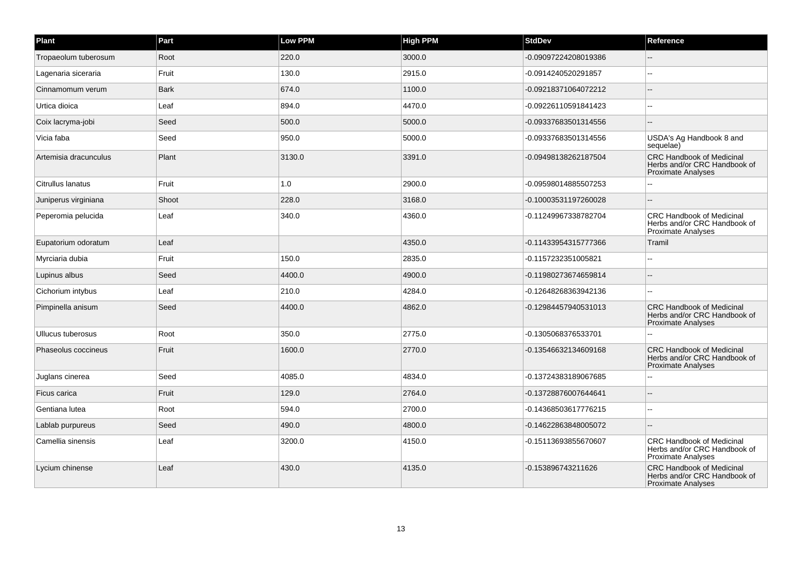| Plant                 | Part        | Low PPM | <b>High PPM</b> | <b>StdDev</b>        | Reference                                                                                     |
|-----------------------|-------------|---------|-----------------|----------------------|-----------------------------------------------------------------------------------------------|
| Tropaeolum tuberosum  | Root        | 220.0   | 3000.0          | -0.09097224208019386 |                                                                                               |
| Lagenaria siceraria   | Fruit       | 130.0   | 2915.0          | -0.0914240520291857  |                                                                                               |
| Cinnamomum verum      | <b>Bark</b> | 674.0   | 1100.0          | -0.09218371064072212 |                                                                                               |
| Urtica dioica         | Leaf        | 894.0   | 4470.0          | -0.09226110591841423 |                                                                                               |
| Coix lacryma-jobi     | Seed        | 500.0   | 5000.0          | -0.09337683501314556 |                                                                                               |
| Vicia faba            | Seed        | 950.0   | 5000.0          | -0.09337683501314556 | USDA's Ag Handbook 8 and<br>sequelae)                                                         |
| Artemisia dracunculus | Plant       | 3130.0  | 3391.0          | -0.09498138262187504 | <b>CRC Handbook of Medicinal</b><br>Herbs and/or CRC Handbook of<br><b>Proximate Analyses</b> |
| Citrullus lanatus     | Fruit       | $1.0$   | 2900.0          | -0.09598014885507253 |                                                                                               |
| Juniperus virginiana  | Shoot       | 228.0   | 3168.0          | -0.10003531197260028 |                                                                                               |
| Peperomia pelucida    | Leaf        | 340.0   | 4360.0          | -0.11249967338782704 | <b>CRC Handbook of Medicinal</b><br>Herbs and/or CRC Handbook of<br>Proximate Analyses        |
| Eupatorium odoratum   | Leaf        |         | 4350.0          | -0.11433954315777366 | Tramil                                                                                        |
| Myrciaria dubia       | Fruit       | 150.0   | 2835.0          | -0.1157232351005821  |                                                                                               |
| Lupinus albus         | Seed        | 4400.0  | 4900.0          | -0.11980273674659814 |                                                                                               |
| Cichorium intybus     | Leaf        | 210.0   | 4284.0          | -0.12648268363942136 | $\overline{a}$                                                                                |
| Pimpinella anisum     | Seed        | 4400.0  | 4862.0          | -0.12984457940531013 | <b>CRC Handbook of Medicinal</b><br>Herbs and/or CRC Handbook of<br><b>Proximate Analyses</b> |
| Ullucus tuberosus     | Root        | 350.0   | 2775.0          | -0.1305068376533701  |                                                                                               |
| Phaseolus coccineus   | Fruit       | 1600.0  | 2770.0          | -0.13546632134609168 | <b>CRC Handbook of Medicinal</b><br>Herbs and/or CRC Handbook of<br><b>Proximate Analyses</b> |
| Juglans cinerea       | Seed        | 4085.0  | 4834.0          | -0.13724383189067685 |                                                                                               |
| Ficus carica          | Fruit       | 129.0   | 2764.0          | -0.13728876007644641 |                                                                                               |
| Gentiana lutea        | Root        | 594.0   | 2700.0          | -0.14368503617776215 | $\sim$                                                                                        |
| Lablab purpureus      | Seed        | 490.0   | 4800.0          | -0.14622863848005072 |                                                                                               |
| Camellia sinensis     | Leaf        | 3200.0  | 4150.0          | -0.15113693855670607 | <b>CRC Handbook of Medicinal</b><br>Herbs and/or CRC Handbook of<br>Proximate Analyses        |
| Lycium chinense       | Leaf        | 430.0   | 4135.0          | -0.153896743211626   | <b>CRC Handbook of Medicinal</b><br>Herbs and/or CRC Handbook of<br><b>Proximate Analyses</b> |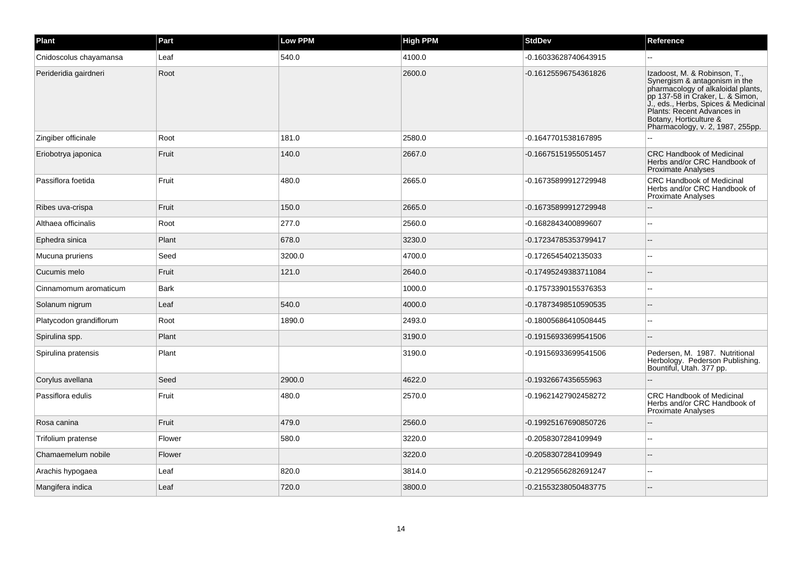| Plant                   | Part   | <b>Low PPM</b> | <b>High PPM</b> | <b>StdDev</b>        | Reference                                                                                                                                                                                                                                                                  |
|-------------------------|--------|----------------|-----------------|----------------------|----------------------------------------------------------------------------------------------------------------------------------------------------------------------------------------------------------------------------------------------------------------------------|
| Cnidoscolus chayamansa  | Leaf   | 540.0          | 4100.0          | -0.16033628740643915 |                                                                                                                                                                                                                                                                            |
| Perideridia gairdneri   | Root   |                | 2600.0          | -0.16125596754361826 | Izadoost, M. & Robinson, T.,<br>Synergism & antagonism in the<br>pharmacology of alkaloidal plants,<br>pp 137-58 in Craker, L. & Simon,<br>J., eds., Herbs, Spices & Medicinal<br>Plants: Recent Advances in<br>Botany, Horticulture &<br>Pharmacology, v. 2, 1987, 255pp. |
| Zingiber officinale     | Root   | 181.0          | 2580.0          | -0.1647701538167895  |                                                                                                                                                                                                                                                                            |
| Eriobotrya japonica     | Fruit  | 140.0          | 2667.0          | -0.16675151955051457 | <b>CRC Handbook of Medicinal</b><br>Herbs and/or CRC Handbook of<br><b>Proximate Analyses</b>                                                                                                                                                                              |
| Passiflora foetida      | Fruit  | 480.0          | 2665.0          | -0.16735899912729948 | <b>CRC Handbook of Medicinal</b><br>Herbs and/or CRC Handbook of<br><b>Proximate Analyses</b>                                                                                                                                                                              |
| Ribes uva-crispa        | Fruit  | 150.0          | 2665.0          | -0.16735899912729948 |                                                                                                                                                                                                                                                                            |
| Althaea officinalis     | Root   | 277.0          | 2560.0          | -0.1682843400899607  |                                                                                                                                                                                                                                                                            |
| Ephedra sinica          | Plant  | 678.0          | 3230.0          | -0.17234785353799417 |                                                                                                                                                                                                                                                                            |
| Mucuna pruriens         | Seed   | 3200.0         | 4700.0          | -0.1726545402135033  |                                                                                                                                                                                                                                                                            |
| Cucumis melo            | Fruit  | 121.0          | 2640.0          | -0.17495249383711084 |                                                                                                                                                                                                                                                                            |
| Cinnamomum aromaticum   | Bark   |                | 1000.0          | -0.17573390155376353 |                                                                                                                                                                                                                                                                            |
| Solanum nigrum          | Leaf   | 540.0          | 4000.0          | -0.17873498510590535 |                                                                                                                                                                                                                                                                            |
| Platycodon grandiflorum | Root   | 1890.0         | 2493.0          | -0.18005686410508445 |                                                                                                                                                                                                                                                                            |
| Spirulina spp.          | Plant  |                | 3190.0          | -0.19156933699541506 |                                                                                                                                                                                                                                                                            |
| Spirulina pratensis     | Plant  |                | 3190.0          | -0.19156933699541506 | Pedersen, M. 1987. Nutritional<br>Herbology. Pederson Publishing.<br>Bountiful, Utah. 377 pp.                                                                                                                                                                              |
| Corylus avellana        | Seed   | 2900.0         | 4622.0          | -0.1932667435655963  |                                                                                                                                                                                                                                                                            |
| Passiflora edulis       | Fruit  | 480.0          | 2570.0          | -0.19621427902458272 | <b>CRC Handbook of Medicinal</b><br>Herbs and/or CRC Handbook of<br><b>Proximate Analyses</b>                                                                                                                                                                              |
| Rosa canina             | Fruit  | 479.0          | 2560.0          | -0.19925167690850726 |                                                                                                                                                                                                                                                                            |
| Trifolium pratense      | Flower | 580.0          | 3220.0          | -0.2058307284109949  |                                                                                                                                                                                                                                                                            |
| Chamaemelum nobile      | Flower |                | 3220.0          | -0.2058307284109949  |                                                                                                                                                                                                                                                                            |
| Arachis hypogaea        | Leaf   | 820.0          | 3814.0          | -0.21295656282691247 |                                                                                                                                                                                                                                                                            |
| Mangifera indica        | Leaf   | 720.0          | 3800.0          | -0.21553238050483775 |                                                                                                                                                                                                                                                                            |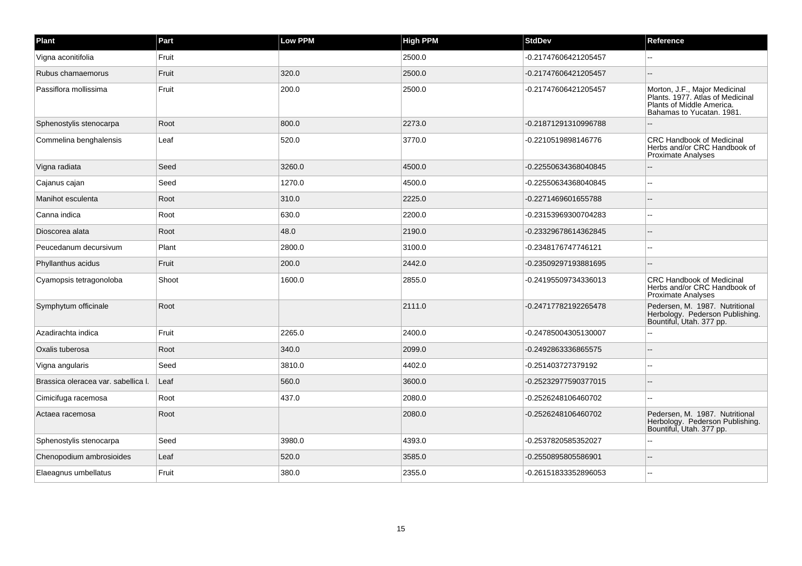| Plant                               | Part  | <b>Low PPM</b> | <b>High PPM</b> | <b>StdDev</b>        | Reference                                                                                                                   |
|-------------------------------------|-------|----------------|-----------------|----------------------|-----------------------------------------------------------------------------------------------------------------------------|
| Vigna aconitifolia                  | Fruit |                | 2500.0          | -0.21747606421205457 |                                                                                                                             |
| Rubus chamaemorus                   | Fruit | 320.0          | 2500.0          | -0.21747606421205457 | $\sim$                                                                                                                      |
| Passiflora mollissima               | Fruit | 200.0          | 2500.0          | -0.21747606421205457 | Morton, J.F., Major Medicinal<br>Plants. 1977. Atlas of Medicinal<br>Plants of Middle America.<br>Bahamas to Yucatan. 1981. |
| Sphenostylis stenocarpa             | Root  | 800.0          | 2273.0          | -0.21871291310996788 |                                                                                                                             |
| Commelina benghalensis              | Leaf  | 520.0          | 3770.0          | -0.2210519898146776  | <b>CRC Handbook of Medicinal</b><br>Herbs and/or CRC Handbook of<br><b>Proximate Analyses</b>                               |
| Vigna radiata                       | Seed  | 3260.0         | 4500.0          | -0.22550634368040845 |                                                                                                                             |
| Cajanus cajan                       | Seed  | 1270.0         | 4500.0          | -0.22550634368040845 |                                                                                                                             |
| Manihot esculenta                   | Root  | 310.0          | 2225.0          | -0.2271469601655788  |                                                                                                                             |
| Canna indica                        | Root  | 630.0          | 2200.0          | -0.23153969300704283 | $\sim$                                                                                                                      |
| Dioscorea alata                     | Root  | 48.0           | 2190.0          | -0.23329678614362845 |                                                                                                                             |
| Peucedanum decursivum               | Plant | 2800.0         | 3100.0          | -0.2348176747746121  | $\sim$                                                                                                                      |
| Phyllanthus acidus                  | Fruit | 200.0          | 2442.0          | -0.23509297193881695 | $\overline{\phantom{a}}$                                                                                                    |
| Cyamopsis tetragonoloba             | Shoot | 1600.0         | 2855.0          | -0.24195509734336013 | <b>CRC Handbook of Medicinal</b><br>Herbs and/or CRC Handbook of<br><b>Proximate Analyses</b>                               |
| Symphytum officinale                | Root  |                | 2111.0          | -0.24717782192265478 | Pedersen, M. 1987. Nutritional<br>Herbology. Pederson Publishing.<br>Bountiful, Utah. 377 pp.                               |
| Azadirachta indica                  | Fruit | 2265.0         | 2400.0          | -0.24785004305130007 |                                                                                                                             |
| Oxalis tuberosa                     | Root  | 340.0          | 2099.0          | -0.2492863336865575  | $\sim$                                                                                                                      |
| Vigna angularis                     | Seed  | 3810.0         | 4402.0          | -0.251403727379192   | ä.                                                                                                                          |
| Brassica oleracea var. sabellica I. | Leaf  | 560.0          | 3600.0          | -0.25232977590377015 |                                                                                                                             |
| Cimicifuga racemosa                 | Root  | 437.0          | 2080.0          | -0.2526248106460702  |                                                                                                                             |
| Actaea racemosa                     | Root  |                | 2080.0          | -0.2526248106460702  | Pedersen, M. 1987. Nutritional<br>Herbology. Pederson Publishing.<br>Bountiful, Utah. 377 pp.                               |
| Sphenostylis stenocarpa             | Seed  | 3980.0         | 4393.0          | -0.2537820585352027  |                                                                                                                             |
| Chenopodium ambrosioides            | Leaf  | 520.0          | 3585.0          | -0.2550895805586901  | $\sim$                                                                                                                      |
| Elaeagnus umbellatus                | Fruit | 380.0          | 2355.0          | -0.26151833352896053 | $\sim$                                                                                                                      |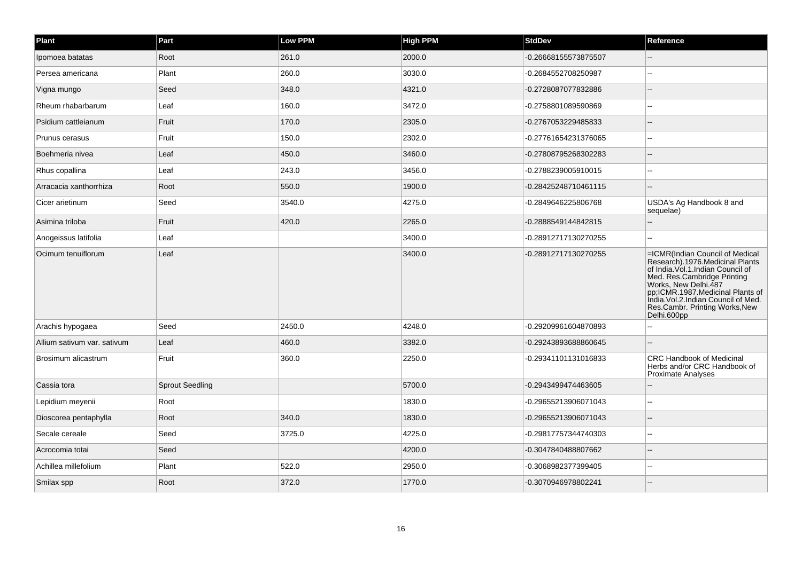| Plant                       | Part                   | Low PPM | <b>High PPM</b> | <b>StdDev</b>        | Reference                                                                                                                                                                                                                                                                                  |
|-----------------------------|------------------------|---------|-----------------|----------------------|--------------------------------------------------------------------------------------------------------------------------------------------------------------------------------------------------------------------------------------------------------------------------------------------|
| Ipomoea batatas             | Root                   | 261.0   | 2000.0          | -0.26668155573875507 |                                                                                                                                                                                                                                                                                            |
| Persea americana            | Plant                  | 260.0   | 3030.0          | -0.2684552708250987  | --                                                                                                                                                                                                                                                                                         |
| Vigna mungo                 | Seed                   | 348.0   | 4321.0          | -0.2728087077832886  |                                                                                                                                                                                                                                                                                            |
| Rheum rhabarbarum           | Leaf                   | 160.0   | 3472.0          | -0.2758801089590869  |                                                                                                                                                                                                                                                                                            |
| Psidium cattleianum         | Fruit                  | 170.0   | 2305.0          | -0.2767053229485833  |                                                                                                                                                                                                                                                                                            |
| Prunus cerasus              | Fruit                  | 150.0   | 2302.0          | -0.27761654231376065 |                                                                                                                                                                                                                                                                                            |
| Boehmeria nivea             | Leaf                   | 450.0   | 3460.0          | -0.27808795268302283 |                                                                                                                                                                                                                                                                                            |
| Rhus copallina              | Leaf                   | 243.0   | 3456.0          | -0.2788239005910015  |                                                                                                                                                                                                                                                                                            |
| Arracacia xanthorrhiza      | Root                   | 550.0   | 1900.0          | -0.28425248710461115 |                                                                                                                                                                                                                                                                                            |
| Cicer arietinum             | Seed                   | 3540.0  | 4275.0          | -0.2849646225806768  | USDA's Ag Handbook 8 and<br>sequelae)                                                                                                                                                                                                                                                      |
| Asimina triloba             | Fruit                  | 420.0   | 2265.0          | -0.2888549144842815  |                                                                                                                                                                                                                                                                                            |
| Anogeissus latifolia        | Leaf                   |         | 3400.0          | -0.28912717130270255 |                                                                                                                                                                                                                                                                                            |
| Ocimum tenuiflorum          | Leaf                   |         | 3400.0          | -0.28912717130270255 | =ICMR(Indian Council of Medical<br>Research).1976.Medicinal Plants<br>of India. Vol.1. Indian Council of<br>Med. Res.Cambridge Printing<br>Works, New Delhi.487<br>pp;ICMR.1987.Medicinal Plants of<br>India.Vol.2.Indian Council of Med.<br>Res.Cambr. Printing Works, New<br>Delhi.600pp |
| Arachis hypogaea            | Seed                   | 2450.0  | 4248.0          | -0.29209961604870893 |                                                                                                                                                                                                                                                                                            |
| Allium sativum var. sativum | Leaf                   | 460.0   | 3382.0          | -0.29243893688860645 |                                                                                                                                                                                                                                                                                            |
| Brosimum alicastrum         | Fruit                  | 360.0   | 2250.0          | -0.29341101131016833 | <b>CRC Handbook of Medicinal</b><br>Herbs and/or CRC Handbook of<br><b>Proximate Analyses</b>                                                                                                                                                                                              |
| Cassia tora                 | <b>Sprout Seedling</b> |         | 5700.0          | -0.2943499474463605  |                                                                                                                                                                                                                                                                                            |
| Lepidium meyenii            | Root                   |         | 1830.0          | -0.29655213906071043 | --                                                                                                                                                                                                                                                                                         |
| Dioscorea pentaphylla       | Root                   | 340.0   | 1830.0          | -0.29655213906071043 |                                                                                                                                                                                                                                                                                            |
| Secale cereale              | Seed                   | 3725.0  | 4225.0          | -0.29817757344740303 | $\sim$                                                                                                                                                                                                                                                                                     |
| Acrocomia totai             | Seed                   |         | 4200.0          | -0.3047840488807662  |                                                                                                                                                                                                                                                                                            |
| Achillea millefolium        | Plant                  | 522.0   | 2950.0          | -0.3068982377399405  | $-$                                                                                                                                                                                                                                                                                        |
| Smilax spp                  | Root                   | 372.0   | 1770.0          | -0.3070946978802241  |                                                                                                                                                                                                                                                                                            |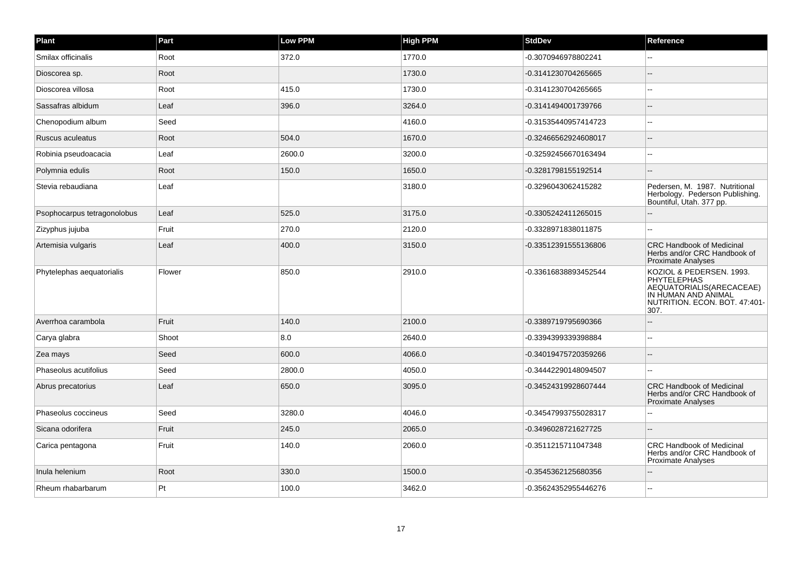| Plant                       | Part   | Low PPM | <b>High PPM</b> | <b>StdDev</b>        | Reference                                                                                                                                  |
|-----------------------------|--------|---------|-----------------|----------------------|--------------------------------------------------------------------------------------------------------------------------------------------|
| Smilax officinalis          | Root   | 372.0   | 1770.0          | -0.3070946978802241  |                                                                                                                                            |
| Dioscorea sp.               | Root   |         | 1730.0          | -0.3141230704265665  |                                                                                                                                            |
| Dioscorea villosa           | Root   | 415.0   | 1730.0          | -0.3141230704265665  |                                                                                                                                            |
| Sassafras albidum           | Leaf   | 396.0   | 3264.0          | -0.3141494001739766  |                                                                                                                                            |
| Chenopodium album           | Seed   |         | 4160.0          | -0.31535440957414723 |                                                                                                                                            |
| Ruscus aculeatus            | Root   | 504.0   | 1670.0          | -0.32466562924608017 |                                                                                                                                            |
| Robinia pseudoacacia        | Leaf   | 2600.0  | 3200.0          | -0.32592456670163494 |                                                                                                                                            |
| Polymnia edulis             | Root   | 150.0   | 1650.0          | -0.3281798155192514  |                                                                                                                                            |
| Stevia rebaudiana           | Leaf   |         | 3180.0          | -0.3296043062415282  | Pedersen, M. 1987. Nutritional<br>Herbology. Pederson Publishing.<br>Bountiful, Utah. 377 pp.                                              |
| Psophocarpus tetragonolobus | Leaf   | 525.0   | 3175.0          | -0.3305242411265015  |                                                                                                                                            |
| Zizyphus jujuba             | Fruit  | 270.0   | 2120.0          | -0.3328971838011875  |                                                                                                                                            |
| Artemisia vulgaris          | Leaf   | 400.0   | 3150.0          | -0.33512391555136806 | <b>CRC Handbook of Medicinal</b><br>Herbs and/or CRC Handbook of<br><b>Proximate Analyses</b>                                              |
| Phytelephas aequatorialis   | Flower | 850.0   | 2910.0          | -0.33616838893452544 | KOZIOL & PEDERSEN. 1993.<br><b>PHYTELEPHAS</b><br>AEQUATORIALIS(ARECACEAE)<br>IN HUMAN AND ANIMAL<br>NUTRITION. ECON. BOT. 47:401-<br>307. |
| Averrhoa carambola          | Fruit  | 140.0   | 2100.0          | -0.3389719795690366  |                                                                                                                                            |
| Carya glabra                | Shoot  | 8.0     | 2640.0          | -0.3394399339398884  |                                                                                                                                            |
| Zea mays                    | Seed   | 600.0   | 4066.0          | -0.34019475720359266 |                                                                                                                                            |
| Phaseolus acutifolius       | Seed   | 2800.0  | 4050.0          | -0.34442290148094507 |                                                                                                                                            |
| Abrus precatorius           | Leaf   | 650.0   | 3095.0          | -0.34524319928607444 | <b>CRC Handbook of Medicinal</b><br>Herbs and/or CRC Handbook of<br><b>Proximate Analyses</b>                                              |
| Phaseolus coccineus         | Seed   | 3280.0  | 4046.0          | -0.34547993755028317 |                                                                                                                                            |
| Sicana odorifera            | Fruit  | 245.0   | 2065.0          | -0.3496028721627725  |                                                                                                                                            |
| Carica pentagona            | Fruit  | 140.0   | 2060.0          | -0.3511215711047348  | <b>CRC Handbook of Medicinal</b><br>Herbs and/or CRC Handbook of<br><b>Proximate Analyses</b>                                              |
| Inula helenium              | Root   | 330.0   | 1500.0          | -0.3545362125680356  |                                                                                                                                            |
| Rheum rhabarbarum           | Pt     | 100.0   | 3462.0          | -0.35624352955446276 |                                                                                                                                            |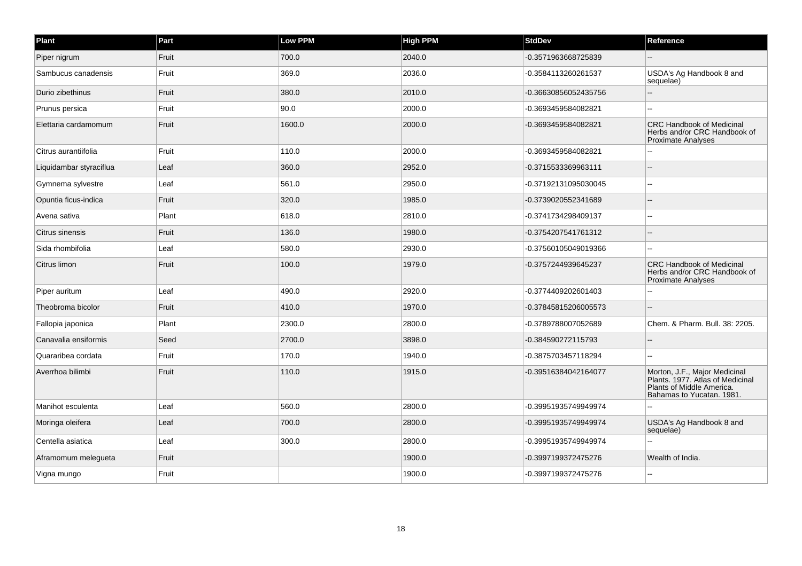| Plant                   | Part  | <b>Low PPM</b> | <b>High PPM</b> | <b>StdDev</b>        | Reference                                                                                                                   |
|-------------------------|-------|----------------|-----------------|----------------------|-----------------------------------------------------------------------------------------------------------------------------|
| Piper nigrum            | Fruit | 700.0          | 2040.0          | -0.3571963668725839  |                                                                                                                             |
| Sambucus canadensis     | Fruit | 369.0          | 2036.0          | -0.3584113260261537  | USDA's Ag Handbook 8 and<br>sequelae)                                                                                       |
| Durio zibethinus        | Fruit | 380.0          | 2010.0          | -0.36630856052435756 |                                                                                                                             |
| Prunus persica          | Fruit | 90.0           | 2000.0          | -0.3693459584082821  |                                                                                                                             |
| Elettaria cardamomum    | Fruit | 1600.0         | 2000.0          | -0.3693459584082821  | <b>CRC Handbook of Medicinal</b><br>Herbs and/or CRC Handbook of<br><b>Proximate Analyses</b>                               |
| Citrus aurantiifolia    | Fruit | 110.0          | 2000.0          | -0.3693459584082821  |                                                                                                                             |
| Liquidambar styraciflua | Leaf  | 360.0          | 2952.0          | -0.3715533369963111  |                                                                                                                             |
| Gymnema sylvestre       | Leaf  | 561.0          | 2950.0          | -0.37192131095030045 |                                                                                                                             |
| Opuntia ficus-indica    | Fruit | 320.0          | 1985.0          | -0.3739020552341689  |                                                                                                                             |
| Avena sativa            | Plant | 618.0          | 2810.0          | -0.3741734298409137  |                                                                                                                             |
| Citrus sinensis         | Fruit | 136.0          | 1980.0          | -0.3754207541761312  |                                                                                                                             |
| Sida rhombifolia        | Leaf  | 580.0          | 2930.0          | -0.37560105049019366 |                                                                                                                             |
| Citrus limon            | Fruit | 100.0          | 1979.0          | -0.3757244939645237  | <b>CRC Handbook of Medicinal</b><br>Herbs and/or CRC Handbook of<br><b>Proximate Analyses</b>                               |
| Piper auritum           | Leaf  | 490.0          | 2920.0          | -0.3774409202601403  |                                                                                                                             |
| Theobroma bicolor       | Fruit | 410.0          | 1970.0          | -0.37845815206005573 |                                                                                                                             |
| Fallopia japonica       | Plant | 2300.0         | 2800.0          | -0.3789788007052689  | Chem. & Pharm. Bull. 38: 2205.                                                                                              |
| Canavalia ensiformis    | Seed  | 2700.0         | 3898.0          | -0.384590272115793   |                                                                                                                             |
| Quararibea cordata      | Fruit | 170.0          | 1940.0          | -0.3875703457118294  |                                                                                                                             |
| Averrhoa bilimbi        | Fruit | 110.0          | 1915.0          | -0.39516384042164077 | Morton, J.F., Major Medicinal<br>Plants. 1977. Atlas of Medicinal<br>Plants of Middle America.<br>Bahamas to Yucatan. 1981. |
| Manihot esculenta       | Leaf  | 560.0          | 2800.0          | -0.39951935749949974 |                                                                                                                             |
| Moringa oleifera        | Leaf  | 700.0          | 2800.0          | -0.39951935749949974 | USDA's Ag Handbook 8 and<br>sequelae)                                                                                       |
| Centella asiatica       | Leaf  | 300.0          | 2800.0          | -0.39951935749949974 |                                                                                                                             |
| Aframomum melegueta     | Fruit |                | 1900.0          | -0.3997199372475276  | Wealth of India.                                                                                                            |
| Vigna mungo             | Fruit |                | 1900.0          | -0.3997199372475276  |                                                                                                                             |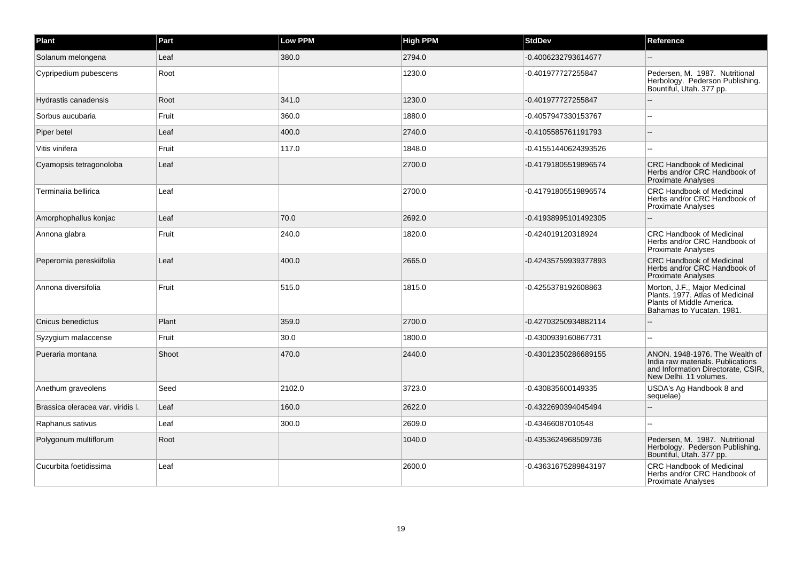| Plant                             | Part  | Low PPM | <b>High PPM</b> | <b>StdDev</b>        | Reference                                                                                                                           |
|-----------------------------------|-------|---------|-----------------|----------------------|-------------------------------------------------------------------------------------------------------------------------------------|
| Solanum melongena                 | Leaf  | 380.0   | 2794.0          | -0.4006232793614677  |                                                                                                                                     |
| Cypripedium pubescens             | Root  |         | 1230.0          | -0.401977727255847   | Pedersen, M. 1987. Nutritional<br>Herbology. Pederson Publishing.<br>Bountiful, Utah. 377 pp.                                       |
| Hydrastis canadensis              | Root  | 341.0   | 1230.0          | -0.401977727255847   |                                                                                                                                     |
| Sorbus aucubaria                  | Fruit | 360.0   | 1880.0          | -0.4057947330153767  | --                                                                                                                                  |
| Piper betel                       | Leaf  | 400.0   | 2740.0          | -0.4105585761191793  |                                                                                                                                     |
| Vitis vinifera                    | Fruit | 117.0   | 1848.0          | -0.41551440624393526 | н.                                                                                                                                  |
| Cyamopsis tetragonoloba           | Leaf  |         | 2700.0          | -0.41791805519896574 | <b>CRC Handbook of Medicinal</b><br>Herbs and/or CRC Handbook of<br><b>Proximate Analyses</b>                                       |
| Terminalia bellirica              | Leaf  |         | 2700.0          | -0.41791805519896574 | <b>CRC Handbook of Medicinal</b><br>Herbs and/or CRC Handbook of<br>Proximate Analyses                                              |
| Amorphophallus konjac             | Leaf  | 70.0    | 2692.0          | -0.41938995101492305 |                                                                                                                                     |
| Annona glabra                     | Fruit | 240.0   | 1820.0          | -0.424019120318924   | <b>CRC Handbook of Medicinal</b><br>Herbs and/or CRC Handbook of<br><b>Proximate Analyses</b>                                       |
| Peperomia pereskiifolia           | Leaf  | 400.0   | 2665.0          | -0.42435759939377893 | <b>CRC Handbook of Medicinal</b><br>Herbs and/or CRC Handbook of<br><b>Proximate Analyses</b>                                       |
| Annona diversifolia               | Fruit | 515.0   | 1815.0          | -0.4255378192608863  | Morton, J.F., Major Medicinal<br>Plants. 1977. Atlas of Medicinal<br>Plants of Middle America.<br>Bahamas to Yucatan. 1981.         |
| Cnicus benedictus                 | Plant | 359.0   | 2700.0          | -0.42703250934882114 |                                                                                                                                     |
| Syzygium malaccense               | Fruit | 30.0    | 1800.0          | -0.4300939160867731  |                                                                                                                                     |
| Pueraria montana                  | Shoot | 470.0   | 2440.0          | -0.43012350286689155 | ANON, 1948-1976. The Wealth of<br>India raw materials. Publications<br>and Information Directorate, CSIR,<br>New Delhi. 11 volumes. |
| Anethum graveolens                | Seed  | 2102.0  | 3723.0          | -0.430835600149335   | USDA's Ag Handbook 8 and<br>sequelae)                                                                                               |
| Brassica oleracea var. viridis I. | Leaf  | 160.0   | 2622.0          | -0.4322690394045494  |                                                                                                                                     |
| Raphanus sativus                  | Leaf  | 300.0   | 2609.0          | -0.43466087010548    |                                                                                                                                     |
| Polygonum multiflorum             | Root  |         | 1040.0          | -0.4353624968509736  | Pedersen, M. 1987. Nutritional<br>Herbology. Pederson Publishing.<br>Bountiful, Utah. 377 pp.                                       |
| Cucurbita foetidissima            | Leaf  |         | 2600.0          | -0.43631675289843197 | <b>CRC Handbook of Medicinal</b><br>Herbs and/or CRC Handbook of<br>Proximate Analyses                                              |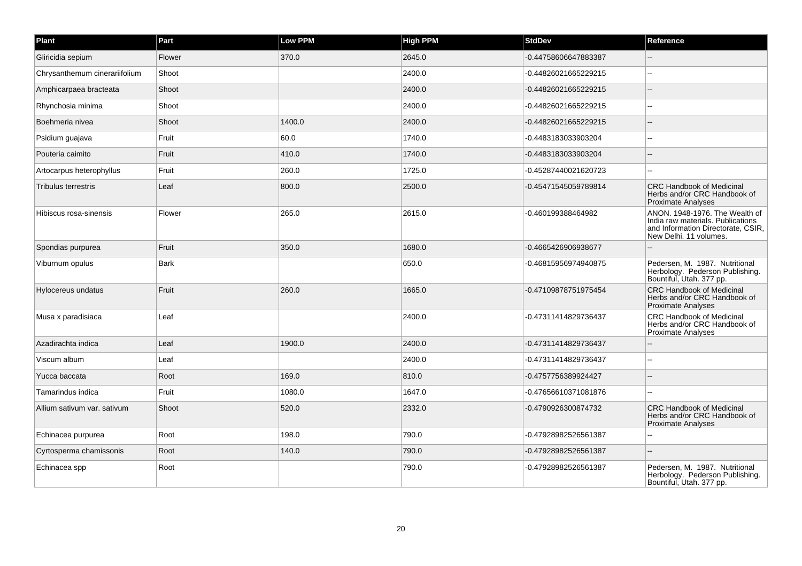| Plant                         | Part        | Low PPM | <b>High PPM</b> | <b>StdDev</b>        | Reference                                                                                                                           |
|-------------------------------|-------------|---------|-----------------|----------------------|-------------------------------------------------------------------------------------------------------------------------------------|
| Gliricidia sepium             | Flower      | 370.0   | 2645.0          | -0.44758606647883387 |                                                                                                                                     |
| Chrysanthemum cinerariifolium | Shoot       |         | 2400.0          | -0.44826021665229215 |                                                                                                                                     |
| Amphicarpaea bracteata        | Shoot       |         | 2400.0          | -0.44826021665229215 |                                                                                                                                     |
| Rhynchosia minima             | Shoot       |         | 2400.0          | -0.44826021665229215 |                                                                                                                                     |
| Boehmeria nivea               | Shoot       | 1400.0  | 2400.0          | -0.44826021665229215 |                                                                                                                                     |
| Psidium guajava               | Fruit       | 60.0    | 1740.0          | -0.4483183033903204  |                                                                                                                                     |
| Pouteria caimito              | Fruit       | 410.0   | 1740.0          | -0.4483183033903204  |                                                                                                                                     |
| Artocarpus heterophyllus      | Fruit       | 260.0   | 1725.0          | -0.45287440021620723 |                                                                                                                                     |
| <b>Tribulus terrestris</b>    | Leaf        | 800.0   | 2500.0          | -0.45471545059789814 | <b>CRC Handbook of Medicinal</b><br>Herbs and/or CRC Handbook of<br><b>Proximate Analyses</b>                                       |
| Hibiscus rosa-sinensis        | Flower      | 265.0   | 2615.0          | -0.460199388464982   | ANON. 1948-1976. The Wealth of<br>India raw materials. Publications<br>and Information Directorate, CSIR,<br>New Delhi. 11 volumes. |
| Spondias purpurea             | Fruit       | 350.0   | 1680.0          | -0.4665426906938677  |                                                                                                                                     |
| Viburnum opulus               | <b>Bark</b> |         | 650.0           | -0.46815956974940875 | Pedersen, M. 1987. Nutritional<br>Herbology. Pederson Publishing.<br>Bountiful, Utah. 377 pp.                                       |
| Hylocereus undatus            | Fruit       | 260.0   | 1665.0          | -0.47109878751975454 | <b>CRC Handbook of Medicinal</b><br>Herbs and/or CRC Handbook of<br><b>Proximate Analyses</b>                                       |
| Musa x paradisiaca            | Leaf        |         | 2400.0          | -0.47311414829736437 | <b>CRC Handbook of Medicinal</b><br>Herbs and/or CRC Handbook of<br><b>Proximate Analyses</b>                                       |
| Azadirachta indica            | Leaf        | 1900.0  | 2400.0          | -0.47311414829736437 |                                                                                                                                     |
| Viscum album                  | Leaf        |         | 2400.0          | -0.47311414829736437 |                                                                                                                                     |
| Yucca baccata                 | Root        | 169.0   | 810.0           | -0.4757756389924427  |                                                                                                                                     |
| Tamarindus indica             | Fruit       | 1080.0  | 1647.0          | -0.47656610371081876 |                                                                                                                                     |
| Allium sativum var. sativum   | Shoot       | 520.0   | 2332.0          | -0.4790926300874732  | <b>CRC Handbook of Medicinal</b><br>Herbs and/or CRC Handbook of<br><b>Proximate Analyses</b>                                       |
| Echinacea purpurea            | Root        | 198.0   | 790.0           | -0.47928982526561387 |                                                                                                                                     |
| Cyrtosperma chamissonis       | Root        | 140.0   | 790.0           | -0.47928982526561387 |                                                                                                                                     |
| Echinacea spp                 | Root        |         | 790.0           | -0.47928982526561387 | Pedersen, M. 1987. Nutritional<br>Herbology. Pederson Publishing.<br>Bountiful, Utah. 377 pp.                                       |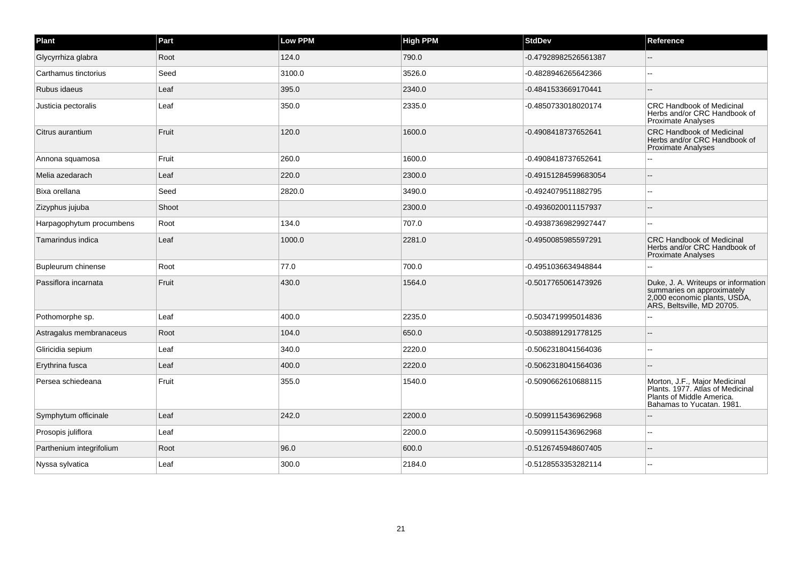| Plant                    | Part  | <b>Low PPM</b> | <b>High PPM</b> | <b>StdDev</b>        | Reference                                                                                                                       |
|--------------------------|-------|----------------|-----------------|----------------------|---------------------------------------------------------------------------------------------------------------------------------|
| Glycyrrhiza glabra       | Root  | 124.0          | 790.0           | -0.47928982526561387 |                                                                                                                                 |
| Carthamus tinctorius     | Seed  | 3100.0         | 3526.0          | -0.4828946265642366  |                                                                                                                                 |
| Rubus idaeus             | Leaf  | 395.0          | 2340.0          | -0.4841533669170441  |                                                                                                                                 |
| Justicia pectoralis      | Leaf  | 350.0          | 2335.0          | -0.4850733018020174  | <b>CRC Handbook of Medicinal</b><br>Herbs and/or CRC Handbook of<br><b>Proximate Analyses</b>                                   |
| Citrus aurantium         | Fruit | 120.0          | 1600.0          | -0.4908418737652641  | <b>CRC Handbook of Medicinal</b><br>Herbs and/or CRC Handbook of<br><b>Proximate Analyses</b>                                   |
| Annona squamosa          | Fruit | 260.0          | 1600.0          | -0.4908418737652641  |                                                                                                                                 |
| Melia azedarach          | Leaf  | 220.0          | 2300.0          | -0.49151284599683054 |                                                                                                                                 |
| Bixa orellana            | Seed  | 2820.0         | 3490.0          | -0.4924079511882795  |                                                                                                                                 |
| Zizyphus jujuba          | Shoot |                | 2300.0          | -0.4936020011157937  |                                                                                                                                 |
| Harpagophytum procumbens | Root  | 134.0          | 707.0           | -0.49387369829927447 |                                                                                                                                 |
| Tamarindus indica        | Leaf  | 1000.0         | 2281.0          | -0.4950085985597291  | <b>CRC Handbook of Medicinal</b><br>Herbs and/or CRC Handbook of<br><b>Proximate Analyses</b>                                   |
| Bupleurum chinense       | Root  | 77.0           | 700.0           | -0.4951036634948844  |                                                                                                                                 |
| Passiflora incarnata     | Fruit | 430.0          | 1564.0          | -0.5017765061473926  | Duke, J. A. Writeups or information<br>summaries on approximately<br>2,000 economic plants, USDA,<br>ARS, Beltsville, MD 20705. |
| Pothomorphe sp.          | Leaf  | 400.0          | 2235.0          | -0.5034719995014836  |                                                                                                                                 |
| Astragalus membranaceus  | Root  | 104.0          | 650.0           | -0.5038891291778125  |                                                                                                                                 |
| Gliricidia sepium        | Leaf  | 340.0          | 2220.0          | -0.5062318041564036  |                                                                                                                                 |
| Erythrina fusca          | Leaf  | 400.0          | 2220.0          | -0.5062318041564036  |                                                                                                                                 |
| Persea schiedeana        | Fruit | 355.0          | 1540.0          | -0.5090662610688115  | Morton, J.F., Major Medicinal<br>Plants. 1977. Atlas of Medicinal<br>Plants of Middle America.<br>Bahamas to Yucatan. 1981.     |
| Symphytum officinale     | Leaf  | 242.0          | 2200.0          | -0.5099115436962968  |                                                                                                                                 |
| Prosopis juliflora       | Leaf  |                | 2200.0          | -0.5099115436962968  | $\overline{a}$                                                                                                                  |
| Parthenium integrifolium | Root  | 96.0           | 600.0           | -0.5126745948607405  | $\sim$                                                                                                                          |
| Nyssa sylvatica          | Leaf  | 300.0          | 2184.0          | -0.5128553353282114  |                                                                                                                                 |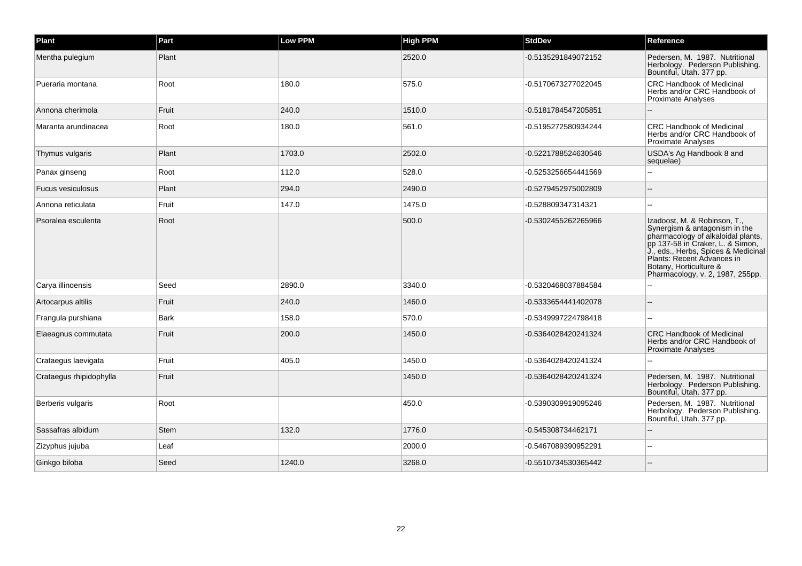| Plant                   | Part        | Low PPM | <b>High PPM</b> | <b>StdDev</b>       | Reference                                                                                                                                                                                                                                                                  |
|-------------------------|-------------|---------|-----------------|---------------------|----------------------------------------------------------------------------------------------------------------------------------------------------------------------------------------------------------------------------------------------------------------------------|
| Mentha pulegium         | Plant       |         | 2520.0          | -0.5135291849072152 | Pedersen, M. 1987. Nutritional<br>Herbology. Pederson Publishing.<br>Bountiful, Utah. 377 pp.                                                                                                                                                                              |
| Pueraria montana        | Root        | 180.0   | 575.0           | -0.5170673277022045 | <b>CRC Handbook of Medicinal</b><br>Herbs and/or CRC Handbook of<br><b>Proximate Analyses</b>                                                                                                                                                                              |
| Annona cherimola        | Fruit       | 240.0   | 1510.0          | -0.5181784547205851 |                                                                                                                                                                                                                                                                            |
| Maranta arundinacea     | Root        | 180.0   | 561.0           | -0.5195272580934244 | <b>CRC Handbook of Medicinal</b><br>Herbs and/or CRC Handbook of<br><b>Proximate Analyses</b>                                                                                                                                                                              |
| Thymus vulgaris         | Plant       | 1703.0  | 2502.0          | -0.5221788524630546 | USDA's Ag Handbook 8 and<br>sequelae)                                                                                                                                                                                                                                      |
| Panax ginseng           | Root        | 112.0   | 528.0           | -0.5253256654441569 |                                                                                                                                                                                                                                                                            |
| Fucus vesiculosus       | Plant       | 294.0   | 2490.0          | -0.5279452975002809 |                                                                                                                                                                                                                                                                            |
| Annona reticulata       | Fruit       | 147.0   | 1475.0          | -0.528809347314321  |                                                                                                                                                                                                                                                                            |
| Psoralea esculenta      | Root        |         | 500.0           | -0.5302455262265966 | Izadoost, M. & Robinson, T.,<br>Synergism & antagonism in the<br>pharmacology of alkaloidal plants,<br>pp 137-58 in Craker, L. & Simon,<br>J., eds., Herbs, Spices & Medicinal<br>Plants: Recent Advances in<br>Botany, Horticulture &<br>Pharmacology, v. 2, 1987, 255pp. |
| Carya illinoensis       | Seed        | 2890.0  | 3340.0          | -0.5320468037884584 |                                                                                                                                                                                                                                                                            |
| Artocarpus altilis      | Fruit       | 240.0   | 1460.0          | -0.5333654441402078 |                                                                                                                                                                                                                                                                            |
| Frangula purshiana      | Bark        | 158.0   | 570.0           | -0.5349997224798418 |                                                                                                                                                                                                                                                                            |
| Elaeagnus commutata     | Fruit       | 200.0   | 1450.0          | -0.5364028420241324 | <b>CRC Handbook of Medicinal</b><br>Herbs and/or CRC Handbook of<br><b>Proximate Analyses</b>                                                                                                                                                                              |
| Crataegus laevigata     | Fruit       | 405.0   | 1450.0          | -0.5364028420241324 |                                                                                                                                                                                                                                                                            |
| Crataegus rhipidophylla | Fruit       |         | 1450.0          | -0.5364028420241324 | Pedersen, M. 1987. Nutritional<br>Herbology. Pederson Publishing.<br>Bountiful, Utah. 377 pp.                                                                                                                                                                              |
| Berberis vulgaris       | Root        |         | 450.0           | -0.5390309919095246 | Pedersen, M. 1987. Nutritional<br>Herbology. Pederson Publishing.<br>Bountiful, Utah. 377 pp.                                                                                                                                                                              |
| Sassafras albidum       | <b>Stem</b> | 132.0   | 1776.0          | -0.545308734462171  |                                                                                                                                                                                                                                                                            |
| Zizyphus jujuba         | Leaf        |         | 2000.0          | -0.5467089390952291 |                                                                                                                                                                                                                                                                            |
| Ginkgo biloba           | Seed        | 1240.0  | 3268.0          | -0.5510734530365442 |                                                                                                                                                                                                                                                                            |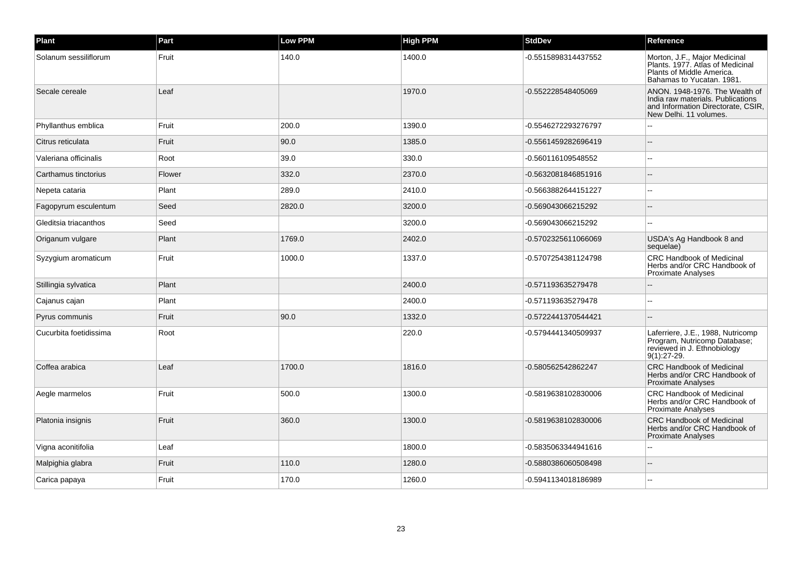| <b>Plant</b>           | Part   | Low PPM | <b>High PPM</b> | <b>StdDev</b>       | Reference                                                                                                                           |
|------------------------|--------|---------|-----------------|---------------------|-------------------------------------------------------------------------------------------------------------------------------------|
| Solanum sessiliflorum  | Fruit  | 140.0   | 1400.0          | -0.5515898314437552 | Morton, J.F., Major Medicinal<br>Plants. 1977. Atlas of Medicinal<br>Plants of Middle America.<br>Bahamas to Yucatan. 1981.         |
| Secale cereale         | Leaf   |         | 1970.0          | -0.552228548405069  | ANON. 1948-1976. The Wealth of<br>India raw materials. Publications<br>and Information Directorate, CSIR,<br>New Delhi. 11 volumes. |
| Phyllanthus emblica    | Fruit  | 200.0   | 1390.0          | -0.5546272293276797 |                                                                                                                                     |
| Citrus reticulata      | Fruit  | 90.0    | 1385.0          | -0.5561459282696419 |                                                                                                                                     |
| Valeriana officinalis  | Root   | 39.0    | 330.0           | -0.560116109548552  | $\overline{a}$                                                                                                                      |
| Carthamus tinctorius   | Flower | 332.0   | 2370.0          | -0.5632081846851916 |                                                                                                                                     |
| Nepeta cataria         | Plant  | 289.0   | 2410.0          | -0.5663882644151227 |                                                                                                                                     |
| Fagopyrum esculentum   | Seed   | 2820.0  | 3200.0          | -0.569043066215292  |                                                                                                                                     |
| Gleditsia triacanthos  | Seed   |         | 3200.0          | -0.569043066215292  |                                                                                                                                     |
| Origanum vulgare       | Plant  | 1769.0  | 2402.0          | -0.5702325611066069 | USDA's Ag Handbook 8 and<br>sequelae)                                                                                               |
| Syzygium aromaticum    | Fruit  | 1000.0  | 1337.0          | -0.5707254381124798 | <b>CRC Handbook of Medicinal</b><br>Herbs and/or CRC Handbook of<br><b>Proximate Analyses</b>                                       |
| Stillingia sylvatica   | Plant  |         | 2400.0          | -0.571193635279478  |                                                                                                                                     |
| Cajanus cajan          | Plant  |         | 2400.0          | -0.571193635279478  |                                                                                                                                     |
| Pyrus communis         | Fruit  | 90.0    | 1332.0          | -0.5722441370544421 | $\overline{a}$                                                                                                                      |
| Cucurbita foetidissima | Root   |         | 220.0           | -0.5794441340509937 | Laferriere, J.E., 1988, Nutricomp<br>Program, Nutricomp Database;<br>reviewed in J. Ethnobiology<br>9(1):27-29.                     |
| Coffea arabica         | Leaf   | 1700.0  | 1816.0          | -0.580562542862247  | <b>CRC Handbook of Medicinal</b><br>Herbs and/or CRC Handbook of<br><b>Proximate Analyses</b>                                       |
| Aegle marmelos         | Fruit  | 500.0   | 1300.0          | -0.5819638102830006 | <b>CRC Handbook of Medicinal</b><br>Herbs and/or CRC Handbook of<br>Proximate Analyses                                              |
| Platonia insignis      | Fruit  | 360.0   | 1300.0          | -0.5819638102830006 | <b>CRC Handbook of Medicinal</b><br>Herbs and/or CRC Handbook of<br><b>Proximate Analyses</b>                                       |
| Vigna aconitifolia     | Leaf   |         | 1800.0          | -0.5835063344941616 |                                                                                                                                     |
| Malpighia glabra       | Fruit  | 110.0   | 1280.0          | -0.5880386060508498 |                                                                                                                                     |
| Carica papaya          | Fruit  | 170.0   | 1260.0          | -0.5941134018186989 |                                                                                                                                     |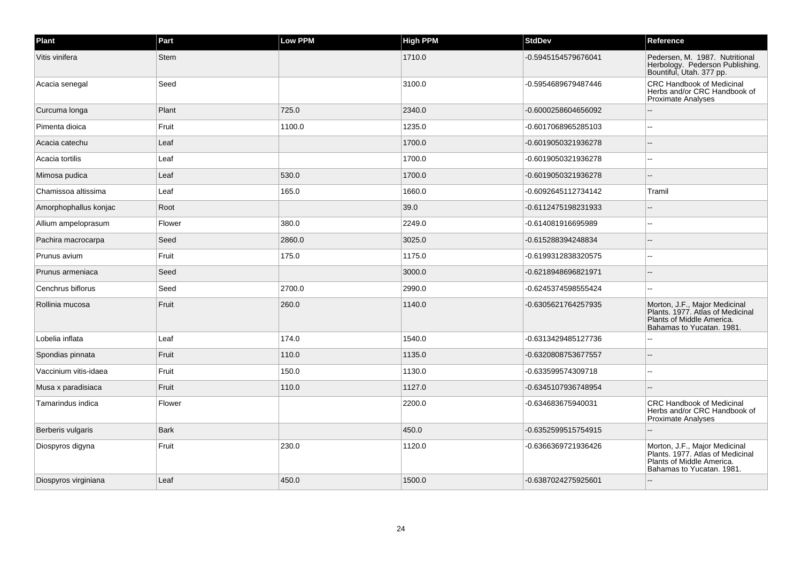| Plant                 | Part        | Low PPM | <b>High PPM</b> | <b>StdDev</b>       | Reference                                                                                                                   |
|-----------------------|-------------|---------|-----------------|---------------------|-----------------------------------------------------------------------------------------------------------------------------|
| Vitis vinifera        | Stem        |         | 1710.0          | -0.5945154579676041 | Pedersen, M. 1987. Nutritional<br>Herbology. Pederson Publishing.<br>Bountiful, Utah. 377 pp.                               |
| Acacia senegal        | Seed        |         | 3100.0          | -0.5954689679487446 | <b>CRC Handbook of Medicinal</b><br>Herbs and/or CRC Handbook of<br><b>Proximate Analyses</b>                               |
| Curcuma longa         | Plant       | 725.0   | 2340.0          | -0.6000258604656092 |                                                                                                                             |
| Pimenta dioica        | Fruit       | 1100.0  | 1235.0          | -0.6017068965285103 |                                                                                                                             |
| Acacia catechu        | Leaf        |         | 1700.0          | -0.6019050321936278 |                                                                                                                             |
| Acacia tortilis       | Leaf        |         | 1700.0          | -0.6019050321936278 |                                                                                                                             |
| Mimosa pudica         | Leaf        | 530.0   | 1700.0          | -0.6019050321936278 |                                                                                                                             |
| Chamissoa altissima   | Leaf        | 165.0   | 1660.0          | -0.6092645112734142 | Tramil                                                                                                                      |
| Amorphophallus konjac | Root        |         | 39.0            | -0.6112475198231933 |                                                                                                                             |
| Allium ampeloprasum   | Flower      | 380.0   | 2249.0          | -0.614081916695989  |                                                                                                                             |
| Pachira macrocarpa    | Seed        | 2860.0  | 3025.0          | -0.615288394248834  |                                                                                                                             |
| Prunus avium          | Fruit       | 175.0   | 1175.0          | -0.6199312838320575 | ц,                                                                                                                          |
| Prunus armeniaca      | Seed        |         | 3000.0          | -0.6218948696821971 |                                                                                                                             |
| Cenchrus biflorus     | Seed        | 2700.0  | 2990.0          | -0.6245374598555424 |                                                                                                                             |
| Rollinia mucosa       | Fruit       | 260.0   | 1140.0          | -0.6305621764257935 | Morton, J.F., Major Medicinal<br>Plants. 1977. Atlas of Medicinal<br>Plants of Middle America.<br>Bahamas to Yucatan. 1981. |
| Lobelia inflata       | Leaf        | 174.0   | 1540.0          | -0.6313429485127736 |                                                                                                                             |
| Spondias pinnata      | Fruit       | 110.0   | 1135.0          | -0.6320808753677557 |                                                                                                                             |
| Vaccinium vitis-idaea | Fruit       | 150.0   | 1130.0          | -0.633599574309718  |                                                                                                                             |
| Musa x paradisiaca    | Fruit       | 110.0   | 1127.0          | -0.6345107936748954 |                                                                                                                             |
| Tamarindus indica     | Flower      |         | 2200.0          | -0.634683675940031  | <b>CRC Handbook of Medicinal</b><br>Herbs and/or CRC Handbook of<br><b>Proximate Analyses</b>                               |
| Berberis vulgaris     | <b>Bark</b> |         | 450.0           | -0.6352599515754915 |                                                                                                                             |
| Diospyros digyna      | Fruit       | 230.0   | 1120.0          | -0.6366369721936426 | Morton, J.F., Major Medicinal<br>Plants. 1977. Atlas of Medicinal<br>Plants of Middle America.<br>Bahamas to Yucatan. 1981. |
| Diospyros virginiana  | Leaf        | 450.0   | 1500.0          | -0.6387024275925601 |                                                                                                                             |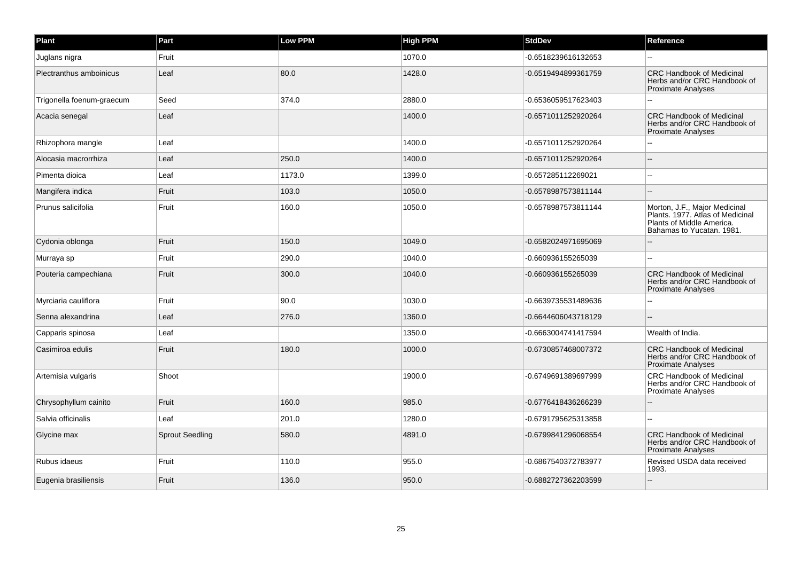| Plant                     | Part                   | <b>Low PPM</b> | <b>High PPM</b> | <b>StdDev</b>       | Reference                                                                                                                   |
|---------------------------|------------------------|----------------|-----------------|---------------------|-----------------------------------------------------------------------------------------------------------------------------|
| Juglans nigra             | Fruit                  |                | 1070.0          | -0.6518239616132653 |                                                                                                                             |
| Plectranthus amboinicus   | Leaf                   | 80.0           | 1428.0          | -0.6519494899361759 | <b>CRC Handbook of Medicinal</b><br>Herbs and/or CRC Handbook of<br><b>Proximate Analyses</b>                               |
| Trigonella foenum-graecum | Seed                   | 374.0          | 2880.0          | -0.6536059517623403 |                                                                                                                             |
| Acacia senegal            | Leaf                   |                | 1400.0          | -0.6571011252920264 | <b>CRC Handbook of Medicinal</b><br>Herbs and/or CRC Handbook of<br>Proximate Analyses                                      |
| Rhizophora mangle         | Leaf                   |                | 1400.0          | -0.6571011252920264 |                                                                                                                             |
| Alocasia macrorrhiza      | Leaf                   | 250.0          | 1400.0          | -0.6571011252920264 |                                                                                                                             |
| Pimenta dioica            | Leaf                   | 1173.0         | 1399.0          | -0.657285112269021  |                                                                                                                             |
| Mangifera indica          | Fruit                  | 103.0          | 1050.0          | -0.6578987573811144 |                                                                                                                             |
| Prunus salicifolia        | Fruit                  | 160.0          | 1050.0          | -0.6578987573811144 | Morton, J.F., Major Medicinal<br>Plants. 1977. Atlas of Medicinal<br>Plants of Middle America.<br>Bahamas to Yucatan, 1981. |
| Cydonia oblonga           | Fruit                  | 150.0          | 1049.0          | -0.6582024971695069 |                                                                                                                             |
| Murraya sp                | Fruit                  | 290.0          | 1040.0          | -0.660936155265039  |                                                                                                                             |
| Pouteria campechiana      | Fruit                  | 300.0          | 1040.0          | -0.660936155265039  | <b>CRC Handbook of Medicinal</b><br>Herbs and/or CRC Handbook of<br><b>Proximate Analyses</b>                               |
| Myrciaria cauliflora      | Fruit                  | 90.0           | 1030.0          | -0.6639735531489636 |                                                                                                                             |
| Senna alexandrina         | Leaf                   | 276.0          | 1360.0          | -0.6644606043718129 |                                                                                                                             |
| Capparis spinosa          | Leaf                   |                | 1350.0          | -0.6663004741417594 | Wealth of India.                                                                                                            |
| Casimiroa edulis          | Fruit                  | 180.0          | 1000.0          | -0.6730857468007372 | <b>CRC Handbook of Medicinal</b><br>Herbs and/or CRC Handbook of<br>Proximate Analyses                                      |
| Artemisia vulgaris        | Shoot                  |                | 1900.0          | -0.6749691389697999 | CRC Handbook of Medicinal<br>Herbs and/or CRC Handbook of<br><b>Proximate Analyses</b>                                      |
| Chrysophyllum cainito     | Fruit                  | 160.0          | 985.0           | -0.6776418436266239 |                                                                                                                             |
| Salvia officinalis        | Leaf                   | 201.0          | 1280.0          | -0.6791795625313858 |                                                                                                                             |
| Glycine max               | <b>Sprout Seedling</b> | 580.0          | 4891.0          | -0.6799841296068554 | <b>CRC Handbook of Medicinal</b><br>Herbs and/or CRC Handbook of<br><b>Proximate Analyses</b>                               |
| Rubus idaeus              | Fruit                  | 110.0          | 955.0           | -0.6867540372783977 | Revised USDA data received<br>1993.                                                                                         |
| Eugenia brasiliensis      | Fruit                  | 136.0          | 950.0           | -0.6882727362203599 |                                                                                                                             |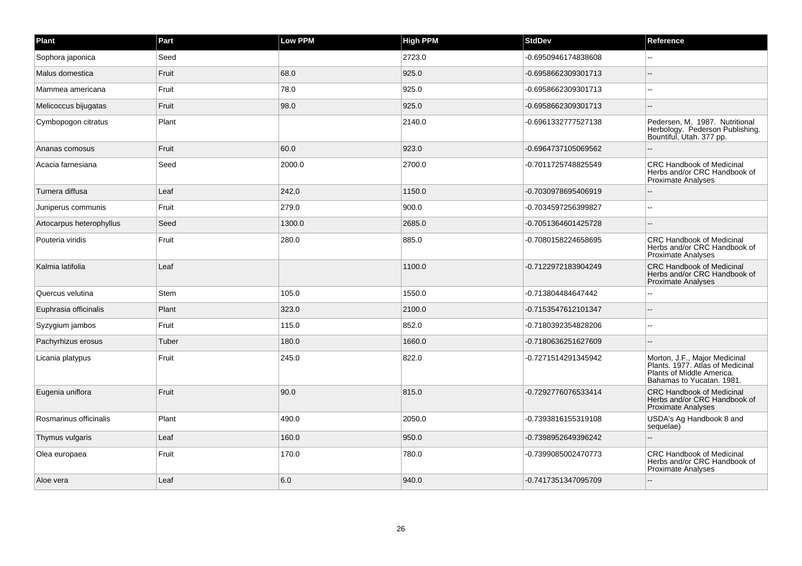| Plant                    | Part        | Low PPM | <b>High PPM</b> | <b>StdDev</b>       | Reference                                                                                                                   |
|--------------------------|-------------|---------|-----------------|---------------------|-----------------------------------------------------------------------------------------------------------------------------|
| Sophora japonica         | Seed        |         | 2723.0          | -0.6950946174838608 |                                                                                                                             |
| Malus domestica          | Fruit       | 68.0    | 925.0           | -0.6958662309301713 | $\sim$                                                                                                                      |
| Mammea americana         | Fruit       | 78.0    | 925.0           | -0.6958662309301713 | --                                                                                                                          |
| Melicoccus bijugatas     | Fruit       | 98.0    | 925.0           | -0.6958662309301713 |                                                                                                                             |
| Cymbopogon citratus      | Plant       |         | 2140.0          | -0.6961332777527138 | Pedersen, M. 1987. Nutritional<br>Herbology. Pederson Publishing.<br>Bountiful, Utah. 377 pp.                               |
| Ananas comosus           | Fruit       | 60.0    | 923.0           | -0.6964737105069562 |                                                                                                                             |
| Acacia farnesiana        | Seed        | 2000.0  | 2700.0          | -0.7011725748825549 | <b>CRC Handbook of Medicinal</b><br>Herbs and/or CRC Handbook of<br><b>Proximate Analyses</b>                               |
| Turnera diffusa          | Leaf        | 242.0   | 1150.0          | -0.7030978695406919 |                                                                                                                             |
| Juniperus communis       | Fruit       | 279.0   | 900.0           | -0.7034597256399827 | $\sim$                                                                                                                      |
| Artocarpus heterophyllus | Seed        | 1300.0  | 2685.0          | -0.7051364601425728 |                                                                                                                             |
| Pouteria viridis         | Fruit       | 280.0   | 885.0           | -0.7080158224658695 | <b>CRC Handbook of Medicinal</b><br>Herbs and/or CRC Handbook of<br>Proximate Analyses                                      |
| Kalmia latifolia         | Leaf        |         | 1100.0          | -0.7122972183904249 | <b>CRC Handbook of Medicinal</b><br>Herbs and/or CRC Handbook of<br><b>Proximate Analyses</b>                               |
| Quercus velutina         | <b>Stem</b> | 105.0   | 1550.0          | -0.713804484647442  |                                                                                                                             |
| Euphrasia officinalis    | Plant       | 323.0   | 2100.0          | -0.7153547612101347 |                                                                                                                             |
| Syzygium jambos          | Fruit       | 115.0   | 852.0           | -0.7180392354828206 |                                                                                                                             |
| Pachyrhizus erosus       | Tuber       | 180.0   | 1660.0          | -0.7180636251627609 | $\overline{a}$                                                                                                              |
| Licania platypus         | Fruit       | 245.0   | 822.0           | -0.7271514291345942 | Morton, J.F., Major Medicinal<br>Plants. 1977. Atlas of Medicinal<br>Plants of Middle America.<br>Bahamas to Yucatan. 1981. |
| Eugenia uniflora         | Fruit       | 90.0    | 815.0           | -0.7292776076533414 | <b>CRC Handbook of Medicinal</b><br>Herbs and/or CRC Handbook of<br>Proximate Analyses                                      |
| Rosmarinus officinalis   | Plant       | 490.0   | 2050.0          | -0.7393816155319108 | USDA's Ag Handbook 8 and<br>sequelae)                                                                                       |
| Thymus vulgaris          | Leaf        | 160.0   | 950.0           | -0.7398952649396242 | $-$                                                                                                                         |
| Olea europaea            | Fruit       | 170.0   | 780.0           | -0.7399085002470773 | <b>CRC Handbook of Medicinal</b><br>Herbs and/or CRC Handbook of<br><b>Proximate Analyses</b>                               |
| Aloe vera                | Leaf        | 6.0     | 940.0           | -0.7417351347095709 |                                                                                                                             |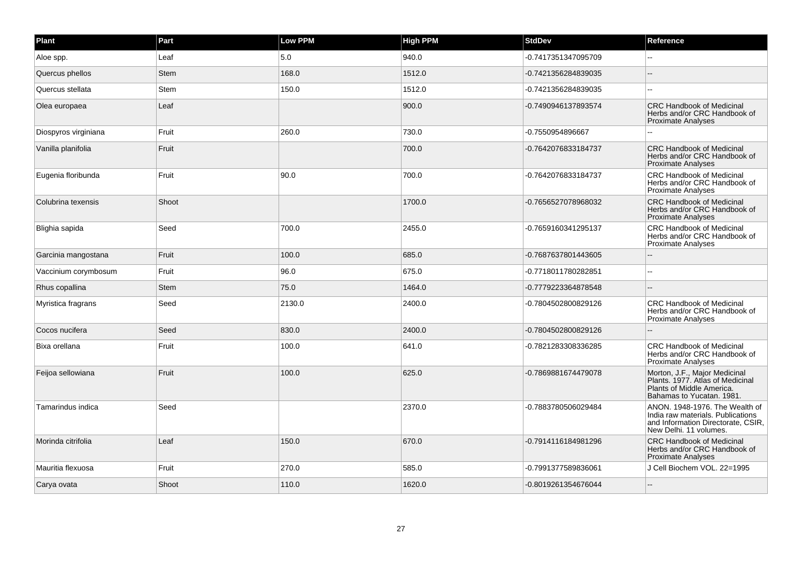| Plant                | Part        | <b>Low PPM</b> | <b>High PPM</b> | <b>StdDev</b>       | Reference                                                                                                                           |
|----------------------|-------------|----------------|-----------------|---------------------|-------------------------------------------------------------------------------------------------------------------------------------|
| Aloe spp.            | Leaf        | 5.0            | 940.0           | -0.7417351347095709 |                                                                                                                                     |
| Quercus phellos      | Stem        | 168.0          | 1512.0          | -0.7421356284839035 |                                                                                                                                     |
| Quercus stellata     | <b>Stem</b> | 150.0          | 1512.0          | -0.7421356284839035 | $\sim$                                                                                                                              |
| Olea europaea        | Leaf        |                | 900.0           | -0.7490946137893574 | <b>CRC Handbook of Medicinal</b><br>Herbs and/or CRC Handbook of<br><b>Proximate Analyses</b>                                       |
| Diospyros virginiana | Fruit       | 260.0          | 730.0           | -0.7550954896667    |                                                                                                                                     |
| Vanilla planifolia   | Fruit       |                | 700.0           | -0.7642076833184737 | <b>CRC Handbook of Medicinal</b><br>Herbs and/or CRC Handbook of<br><b>Proximate Analyses</b>                                       |
| Eugenia floribunda   | Fruit       | 90.0           | 700.0           | -0.7642076833184737 | CRC Handbook of Medicinal<br>Herbs and/or CRC Handbook of<br><b>Proximate Analyses</b>                                              |
| Colubrina texensis   | Shoot       |                | 1700.0          | -0.7656527078968032 | <b>CRC Handbook of Medicinal</b><br>Herbs and/or CRC Handbook of<br><b>Proximate Analyses</b>                                       |
| Blighia sapida       | Seed        | 700.0          | 2455.0          | -0.7659160341295137 | <b>CRC Handbook of Medicinal</b><br>Herbs and/or CRC Handbook of<br><b>Proximate Analyses</b>                                       |
| Garcinia mangostana  | Fruit       | 100.0          | 685.0           | -0.7687637801443605 |                                                                                                                                     |
| Vaccinium corymbosum | Fruit       | 96.0           | 675.0           | -0.7718011780282851 |                                                                                                                                     |
| Rhus copallina       | <b>Stem</b> | 75.0           | 1464.0          | -0.7779223364878548 |                                                                                                                                     |
| Myristica fragrans   | Seed        | 2130.0         | 2400.0          | -0.7804502800829126 | <b>CRC Handbook of Medicinal</b><br>Herbs and/or CRC Handbook of<br><b>Proximate Analyses</b>                                       |
| Cocos nucifera       | Seed        | 830.0          | 2400.0          | -0.7804502800829126 |                                                                                                                                     |
| Bixa orellana        | Fruit       | 100.0          | 641.0           | -0.7821283308336285 | <b>CRC Handbook of Medicinal</b><br>Herbs and/or CRC Handbook of<br><b>Proximate Analyses</b>                                       |
| Feijoa sellowiana    | Fruit       | 100.0          | 625.0           | -0.7869881674479078 | Morton, J.F., Major Medicinal<br>Plants. 1977. Atlas of Medicinal<br>Plants of Middle America.<br>Bahamas to Yucatan. 1981.         |
| Tamarindus indica    | Seed        |                | 2370.0          | -0.7883780506029484 | ANON, 1948-1976. The Wealth of<br>India raw materials. Publications<br>and Information Directorate, CSIR,<br>New Delhi. 11 volumes. |
| Morinda citrifolia   | Leaf        | 150.0          | 670.0           | -0.7914116184981296 | <b>CRC Handbook of Medicinal</b><br>Herbs and/or CRC Handbook of<br><b>Proximate Analyses</b>                                       |
| Mauritia flexuosa    | Fruit       | 270.0          | 585.0           | -0.7991377589836061 | J Cell Biochem VOL. 22=1995                                                                                                         |
| Carya ovata          | Shoot       | 110.0          | 1620.0          | -0.8019261354676044 |                                                                                                                                     |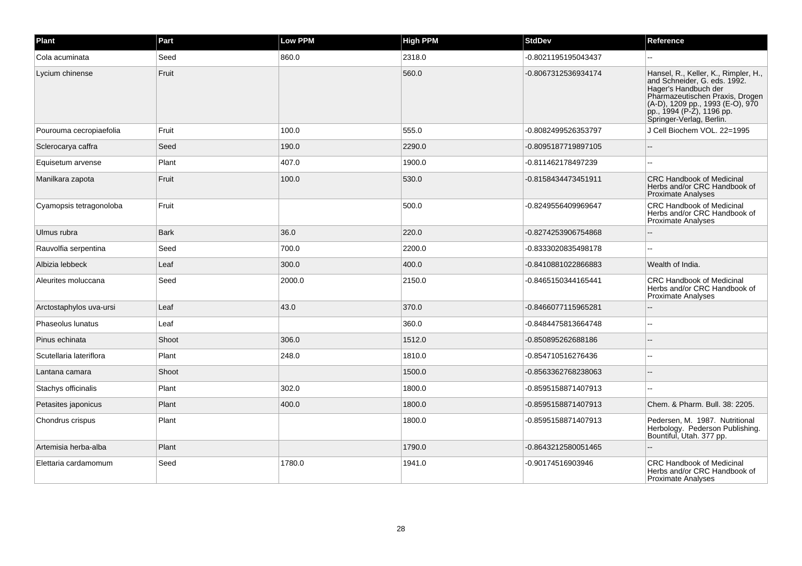| Plant                   | Part        | <b>Low PPM</b> | <b>High PPM</b> | <b>StdDev</b>       | Reference                                                                                                                                                                                                                    |
|-------------------------|-------------|----------------|-----------------|---------------------|------------------------------------------------------------------------------------------------------------------------------------------------------------------------------------------------------------------------------|
| Cola acuminata          | Seed        | 860.0          | 2318.0          | -0.8021195195043437 |                                                                                                                                                                                                                              |
| Lycium chinense         | Fruit       |                | 560.0           | -0.8067312536934174 | Hansel, R., Keller, K., Rimpler, H.,<br>and Schneider, G. eds. 1992.<br>Hager's Handbuch der<br>Pharmazeutischen Praxis, Drogen<br>(A-D), 1209 pp., 1993 (E-O), 970<br>pp., 1994 (P-Z), 1196 pp.<br>Springer-Verlag, Berlin. |
| Pourouma cecropiaefolia | Fruit       | 100.0          | 555.0           | -0.8082499526353797 | J Cell Biochem VOL. 22=1995                                                                                                                                                                                                  |
| Sclerocarya caffra      | Seed        | 190.0          | 2290.0          | -0.8095187719897105 |                                                                                                                                                                                                                              |
| Equisetum arvense       | Plant       | 407.0          | 1900.0          | -0.811462178497239  |                                                                                                                                                                                                                              |
| Manilkara zapota        | Fruit       | 100.0          | 530.0           | -0.8158434473451911 | <b>CRC Handbook of Medicinal</b><br>Herbs and/or CRC Handbook of<br><b>Proximate Analyses</b>                                                                                                                                |
| Cyamopsis tetragonoloba | Fruit       |                | 500.0           | -0.8249556409969647 | CRC Handbook of Medicinal<br>Herbs and/or CRC Handbook of<br>Proximate Analyses                                                                                                                                              |
| Ulmus rubra             | <b>Bark</b> | 36.0           | 220.0           | -0.8274253906754868 |                                                                                                                                                                                                                              |
| Rauvolfia serpentina    | Seed        | 700.0          | 2200.0          | -0.8333020835498178 |                                                                                                                                                                                                                              |
| Albizia lebbeck         | Leaf        | 300.0          | 400.0           | -0.8410881022866883 | Wealth of India.                                                                                                                                                                                                             |
| Aleurites moluccana     | Seed        | 2000.0         | 2150.0          | -0.8465150344165441 | <b>CRC Handbook of Medicinal</b><br>Herbs and/or CRC Handbook of<br>Proximate Analyses                                                                                                                                       |
| Arctostaphylos uva-ursi | Leaf        | 43.0           | 370.0           | -0.8466077115965281 |                                                                                                                                                                                                                              |
| Phaseolus lunatus       | Leaf        |                | 360.0           | -0.8484475813664748 |                                                                                                                                                                                                                              |
| Pinus echinata          | Shoot       | 306.0          | 1512.0          | -0.850895262688186  |                                                                                                                                                                                                                              |
| Scutellaria lateriflora | Plant       | 248.0          | 1810.0          | -0.854710516276436  | $\overline{a}$                                                                                                                                                                                                               |
| Lantana camara          | Shoot       |                | 1500.0          | -0.8563362768238063 |                                                                                                                                                                                                                              |
| Stachys officinalis     | Plant       | 302.0          | 1800.0          | -0.8595158871407913 |                                                                                                                                                                                                                              |
| Petasites japonicus     | Plant       | 400.0          | 1800.0          | -0.8595158871407913 | Chem. & Pharm. Bull. 38: 2205.                                                                                                                                                                                               |
| Chondrus crispus        | Plant       |                | 1800.0          | -0.8595158871407913 | Pedersen, M. 1987. Nutritional<br>Herbology. Pederson Publishing.<br>Bountiful, Utah. 377 pp.                                                                                                                                |
| Artemisia herba-alba    | Plant       |                | 1790.0          | -0.8643212580051465 |                                                                                                                                                                                                                              |
| Elettaria cardamomum    | Seed        | 1780.0         | 1941.0          | -0.90174516903946   | CRC Handbook of Medicinal<br>Herbs and/or CRC Handbook of<br>Proximate Analyses                                                                                                                                              |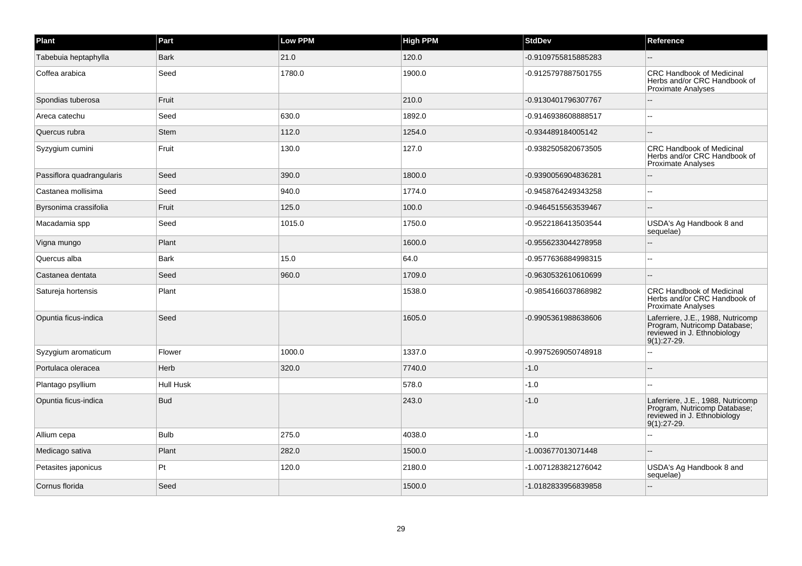| Plant                     | Part        | <b>Low PPM</b> | <b>High PPM</b> | <b>StdDev</b>       | Reference                                                                                                         |
|---------------------------|-------------|----------------|-----------------|---------------------|-------------------------------------------------------------------------------------------------------------------|
| Tabebuia heptaphylla      | <b>Bark</b> | 21.0           | 120.0           | -0.9109755815885283 |                                                                                                                   |
| Coffea arabica            | Seed        | 1780.0         | 1900.0          | -0.9125797887501755 | <b>CRC Handbook of Medicinal</b><br>Herbs and/or CRC Handbook of<br><b>Proximate Analyses</b>                     |
| Spondias tuberosa         | Fruit       |                | 210.0           | -0.9130401796307767 |                                                                                                                   |
| Areca catechu             | Seed        | 630.0          | 1892.0          | -0.9146938608888517 |                                                                                                                   |
| Quercus rubra             | <b>Stem</b> | 112.0          | 1254.0          | -0.934489184005142  |                                                                                                                   |
| Syzygium cumini           | Fruit       | 130.0          | 127.0           | -0.9382505820673505 | <b>CRC Handbook of Medicinal</b><br>Herbs and/or CRC Handbook of<br><b>Proximate Analyses</b>                     |
| Passiflora quadrangularis | Seed        | 390.0          | 1800.0          | -0.9390056904836281 |                                                                                                                   |
| Castanea mollisima        | Seed        | 940.0          | 1774.0          | -0.9458764249343258 | $\sim$                                                                                                            |
| Byrsonima crassifolia     | Fruit       | 125.0          | 100.0           | -0.9464515563539467 |                                                                                                                   |
| Macadamia spp             | Seed        | 1015.0         | 1750.0          | -0.9522186413503544 | USDA's Ag Handbook 8 and<br>sequelae)                                                                             |
| Vigna mungo               | Plant       |                | 1600.0          | -0.9556233044278958 |                                                                                                                   |
| Quercus alba              | <b>Bark</b> | 15.0           | 64.0            | -0.9577636884998315 | --                                                                                                                |
| Castanea dentata          | Seed        | 960.0          | 1709.0          | -0.9630532610610699 |                                                                                                                   |
| Satureja hortensis        | Plant       |                | 1538.0          | -0.9854166037868982 | <b>CRC Handbook of Medicinal</b><br>Herbs and/or CRC Handbook of<br><b>Proximate Analyses</b>                     |
| Opuntia ficus-indica      | Seed        |                | 1605.0          | -0.9905361988638606 | Laferriere, J.E., 1988, Nutricomp<br>Program, Nutricomp Database;<br>reviewed in J. Ethnobiology<br>$9(1):27-29.$ |
| Syzygium aromaticum       | Flower      | 1000.0         | 1337.0          | -0.9975269050748918 | $\overline{a}$                                                                                                    |
| Portulaca oleracea        | Herb        | 320.0          | 7740.0          | $-1.0$              |                                                                                                                   |
| Plantago psyllium         | Hull Husk   |                | 578.0           | $-1.0$              |                                                                                                                   |
| Opuntia ficus-indica      | <b>Bud</b>  |                | 243.0           | $-1.0$              | Laferriere, J.E., 1988, Nutricomp<br>Program, Nutricomp Database;<br>reviewed in J. Ethnobiology<br>$9(1):27-29.$ |
| Allium cepa               | <b>Bulb</b> | 275.0          | 4038.0          | $-1.0$              |                                                                                                                   |
| Medicago sativa           | Plant       | 282.0          | 1500.0          | -1.003677013071448  |                                                                                                                   |
| Petasites japonicus       | Pt          | 120.0          | 2180.0          | -1.0071283821276042 | USDA's Ag Handbook 8 and<br>sequelae)                                                                             |
| Cornus florida            | Seed        |                | 1500.0          | -1.0182833956839858 |                                                                                                                   |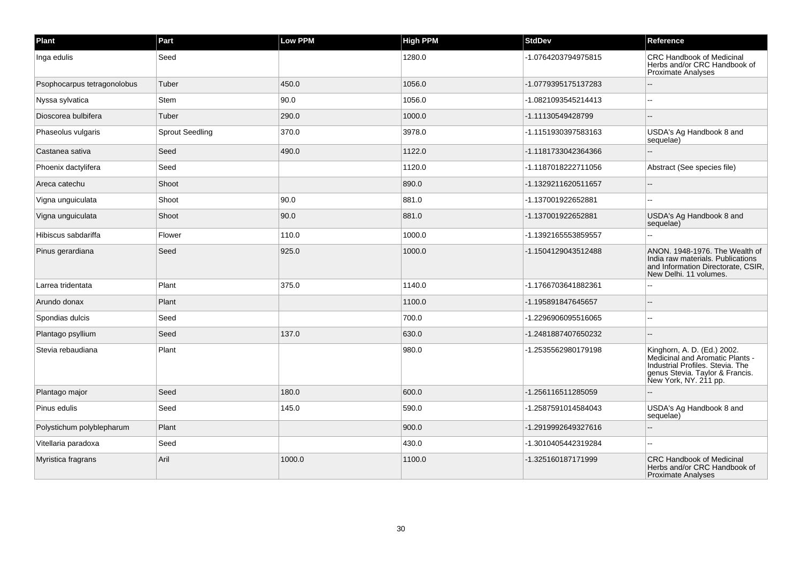| Plant                       | Part                   | Low PPM | <b>High PPM</b> | <b>StdDev</b>       | Reference                                                                                                                                                      |
|-----------------------------|------------------------|---------|-----------------|---------------------|----------------------------------------------------------------------------------------------------------------------------------------------------------------|
| Inga edulis                 | Seed                   |         | 1280.0          | -1.0764203794975815 | CRC Handbook of Medicinal<br>Herbs and/or CRC Handbook of<br>Proximate Analyses                                                                                |
| Psophocarpus tetragonolobus | Tuber                  | 450.0   | 1056.0          | -1.0779395175137283 |                                                                                                                                                                |
| Nyssa sylvatica             | Stem                   | 90.0    | 1056.0          | -1.0821093545214413 |                                                                                                                                                                |
| Dioscorea bulbifera         | Tuber                  | 290.0   | 1000.0          | -1.11130549428799   |                                                                                                                                                                |
| Phaseolus vulgaris          | <b>Sprout Seedling</b> | 370.0   | 3978.0          | -1.1151930397583163 | USDA's Ag Handbook 8 and<br>sequelae)                                                                                                                          |
| Castanea sativa             | Seed                   | 490.0   | 1122.0          | -1.1181733042364366 |                                                                                                                                                                |
| Phoenix dactylifera         | Seed                   |         | 1120.0          | -1.1187018222711056 | Abstract (See species file)                                                                                                                                    |
| Areca catechu               | Shoot                  |         | 890.0           | -1.1329211620511657 |                                                                                                                                                                |
| Vigna unguiculata           | Shoot                  | 90.0    | 881.0           | -1.137001922652881  |                                                                                                                                                                |
| Vigna unguiculata           | Shoot                  | 90.0    | 881.0           | -1.137001922652881  | USDA's Ag Handbook 8 and<br>sequelae)                                                                                                                          |
| Hibiscus sabdariffa         | Flower                 | 110.0   | 1000.0          | -1.1392165553859557 |                                                                                                                                                                |
| Pinus gerardiana            | Seed                   | 925.0   | 1000.0          | -1.1504129043512488 | ANON. 1948-1976. The Wealth of<br>India raw materials. Publications<br>and Information Directorate, CSIR,<br>New Delhi. 11 volumes.                            |
| Larrea tridentata           | Plant                  | 375.0   | 1140.0          | -1.1766703641882361 |                                                                                                                                                                |
| Arundo donax                | Plant                  |         | 1100.0          | -1.195891847645657  |                                                                                                                                                                |
| Spondias dulcis             | Seed                   |         | 700.0           | -1.2296906095516065 |                                                                                                                                                                |
| Plantago psyllium           | Seed                   | 137.0   | 630.0           | -1.2481887407650232 |                                                                                                                                                                |
| Stevia rebaudiana           | Plant                  |         | 980.0           | -1.2535562980179198 | Kinghorn, A. D. (Ed.) 2002.<br>Medicinal and Aromatic Plants -<br>Industrial Profiles. Stevia, The<br>genus Stevia. Taylor & Francis.<br>New York, NY. 211 pp. |
| Plantago major              | Seed                   | 180.0   | 600.0           | -1.256116511285059  |                                                                                                                                                                |
| Pinus edulis                | Seed                   | 145.0   | 590.0           | -1.2587591014584043 | USDA's Ag Handbook 8 and<br>sequelae)                                                                                                                          |
| Polystichum polyblepharum   | Plant                  |         | 900.0           | -1.2919992649327616 |                                                                                                                                                                |
| Vitellaria paradoxa         | Seed                   |         | 430.0           | -1.3010405442319284 | $\overline{a}$                                                                                                                                                 |
| Myristica fragrans          | Aril                   | 1000.0  | 1100.0          | -1.325160187171999  | <b>CRC Handbook of Medicinal</b><br>Herbs and/or CRC Handbook of<br><b>Proximate Analyses</b>                                                                  |